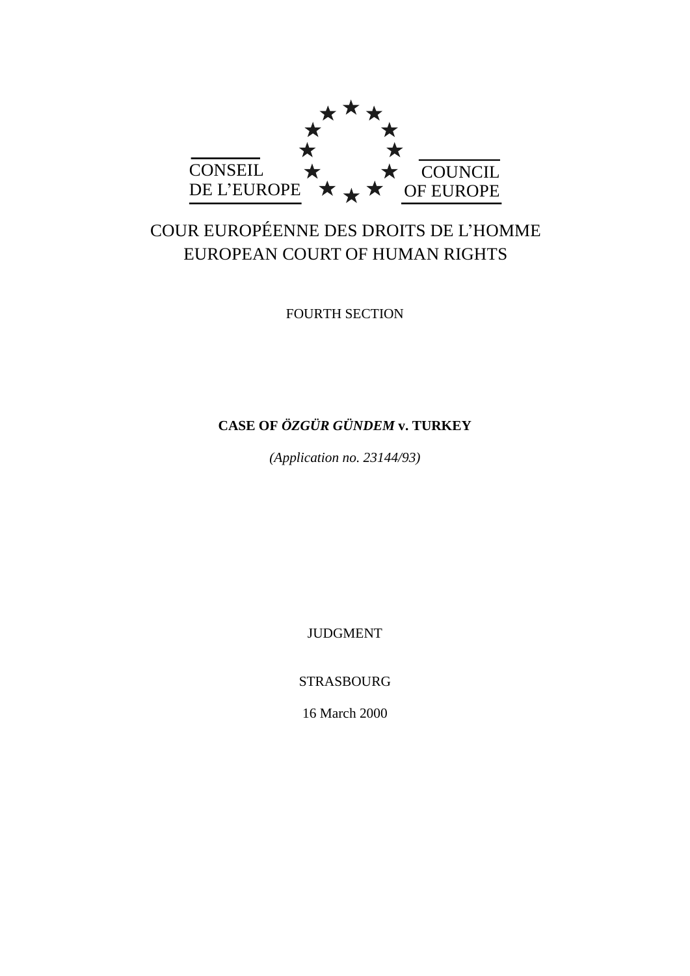

# COUR EUROPÉENNE DES DROITS DE L'HOMME EUROPEAN COURT OF HUMAN RIGHTS

FOURTH SECTION

## **CASE OF** *ÖZGÜR GÜNDEM* **v. TURKEY**

*(Application no. 23144/93)*

JUDGMENT

STRASBOURG

16 March 2000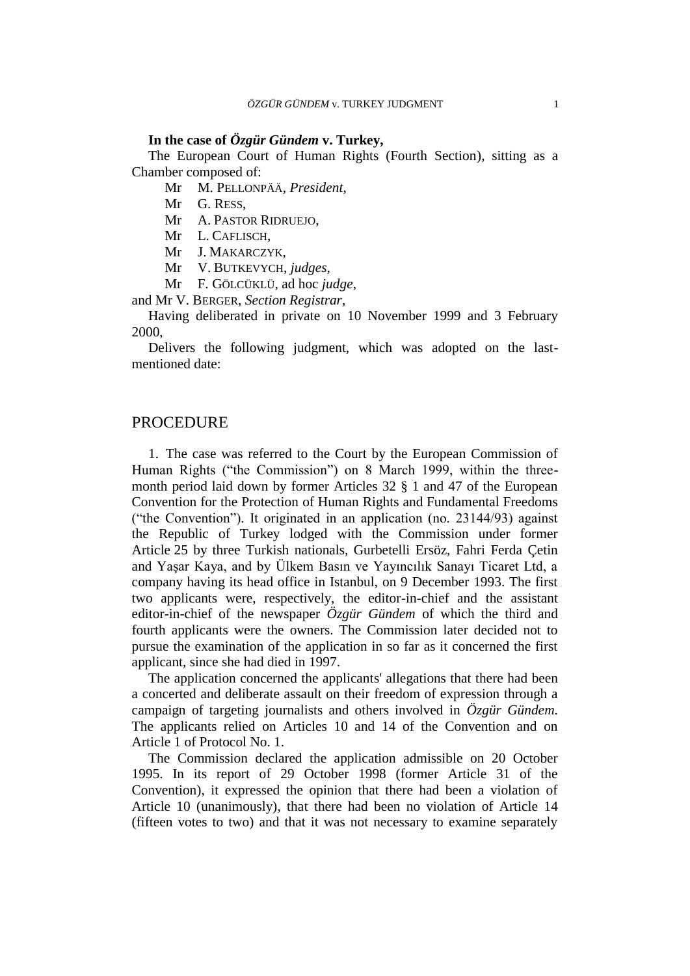## **In the case of** *Özgür Gündem* **v. Turkey,**

The European Court of Human Rights (Fourth Section), sitting as a Chamber composed of:

Mr M. PELLONPÄÄ, *President*,

Mr G. RESS,

Mr A. PASTOR RIDRUEJO,

Mr L. CAFLISCH,

Mr J. MAKARCZYK,

Mr V. BUTKEVYCH, *judges*,

Mr F. GÖLCÜKLÜ, ad hoc *judge*,

and Mr V. BERGER, *Section Registrar*,

Having deliberated in private on 10 November 1999 and 3 February 2000,

Delivers the following judgment, which was adopted on the lastmentioned date:

## PROCEDURE

1. The case was referred to the Court by the European Commission of Human Rights ("the Commission") on 8 March 1999, within the threemonth period laid down by former Articles 32 § 1 and 47 of the European Convention for the Protection of Human Rights and Fundamental Freedoms ("the Convention"). It originated in an application (no. 23144/93) against the Republic of Turkey lodged with the Commission under former Article 25 by three Turkish nationals, Gurbetelli Ersöz, Fahri Ferda Çetin and Yaşar Kaya, and by Ülkem Basın ve Yayıncılık Sanayı Ticaret Ltd, a company having its head office in Istanbul, on 9 December 1993. The first two applicants were, respectively, the editor-in-chief and the assistant editor-in-chief of the newspaper *Özgür Gündem* of which the third and fourth applicants were the owners. The Commission later decided not to pursue the examination of the application in so far as it concerned the first applicant, since she had died in 1997.

The application concerned the applicants' allegations that there had been a concerted and deliberate assault on their freedom of expression through a campaign of targeting journalists and others involved in *Özgür Gündem*. The applicants relied on Articles 10 and 14 of the Convention and on Article 1 of Protocol No. 1.

The Commission declared the application admissible on 20 October 1995. In its report of 29 October 1998 (former Article 31 of the Convention), it expressed the opinion that there had been a violation of Article 10 (unanimously), that there had been no violation of Article 14 (fifteen votes to two) and that it was not necessary to examine separately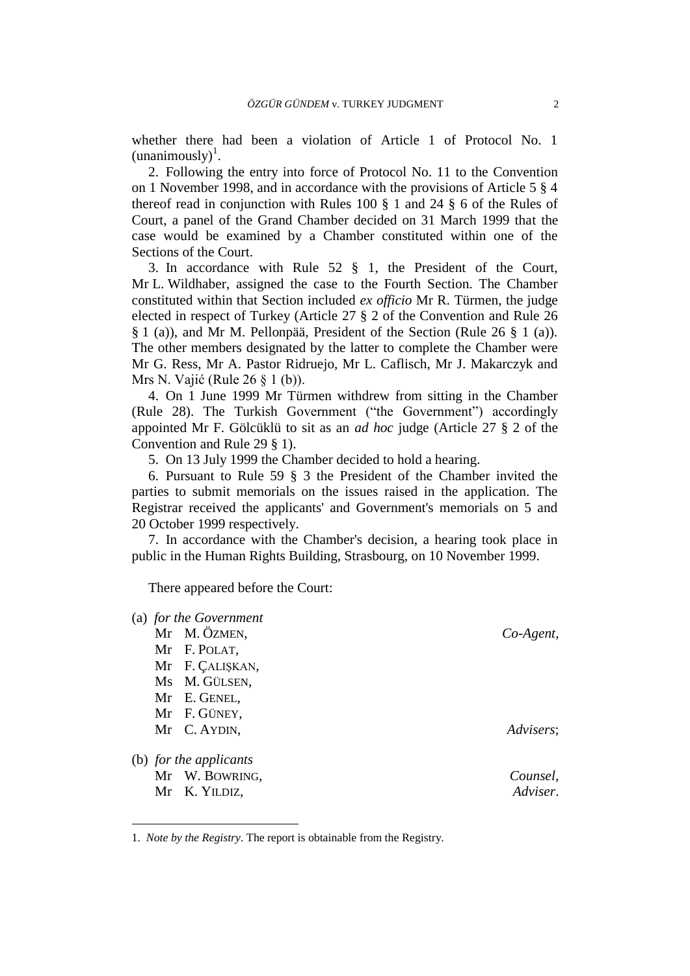whether there had been a violation of Article 1 of Protocol No. 1  $(unanimously)<sup>1</sup>$ .

2. Following the entry into force of Protocol No. 11 to the Convention on 1 November 1998, and in accordance with the provisions of Article 5 § 4 thereof read in conjunction with Rules 100 § 1 and 24 § 6 of the Rules of Court, a panel of the Grand Chamber decided on 31 March 1999 that the case would be examined by a Chamber constituted within one of the Sections of the Court.

3. In accordance with Rule 52 § 1, the President of the Court, Mr L. Wildhaber, assigned the case to the Fourth Section. The Chamber constituted within that Section included *ex officio* Mr R. Türmen, the judge elected in respect of Turkey (Article 27 § 2 of the Convention and Rule 26 § 1 (a)), and Mr M. Pellonpää, President of the Section (Rule 26 § 1 (a)). The other members designated by the latter to complete the Chamber were Mr G. Ress, Mr A. Pastor Ridruejo, Mr L. Caflisch, Mr J. Makarczyk and Mrs N. Vajić (Rule 26 § 1 (b)).

4. On 1 June 1999 Mr Türmen withdrew from sitting in the Chamber (Rule 28). The Turkish Government ("the Government") accordingly appointed Mr F. Gölcüklü to sit as an *ad hoc* judge (Article 27 § 2 of the Convention and Rule 29 § 1).

5. On 13 July 1999 the Chamber decided to hold a hearing.

6. Pursuant to Rule 59 § 3 the President of the Chamber invited the parties to submit memorials on the issues raised in the application. The Registrar received the applicants' and Government's memorials on 5 and 20 October 1999 respectively.

7. In accordance with the Chamber's decision, a hearing took place in public in the Human Rights Building, Strasbourg, on 10 November 1999.

There appeared before the Court:

 $\overline{a}$ 

| (a) for the Government |              |
|------------------------|--------------|
| Mr M. ÖZMEN,           | $Co-Agent$ , |
| Mr F. POLAT,           |              |
| Mr F. ÇALIŞKAN,        |              |
| Ms M. GÜLSEN,          |              |
| Mr E. GENEL,           |              |
| Mr F. GÜNEY,           |              |
| Mr C. AYDIN,           | Advisers;    |
| (b) for the applicants |              |
| Mr W. BOWRING,         | Counsel,     |
| Mr K. YILDIZ,          | Adviser.     |

<sup>1.</sup> *Note by the Registry*. The report is obtainable from the Registry.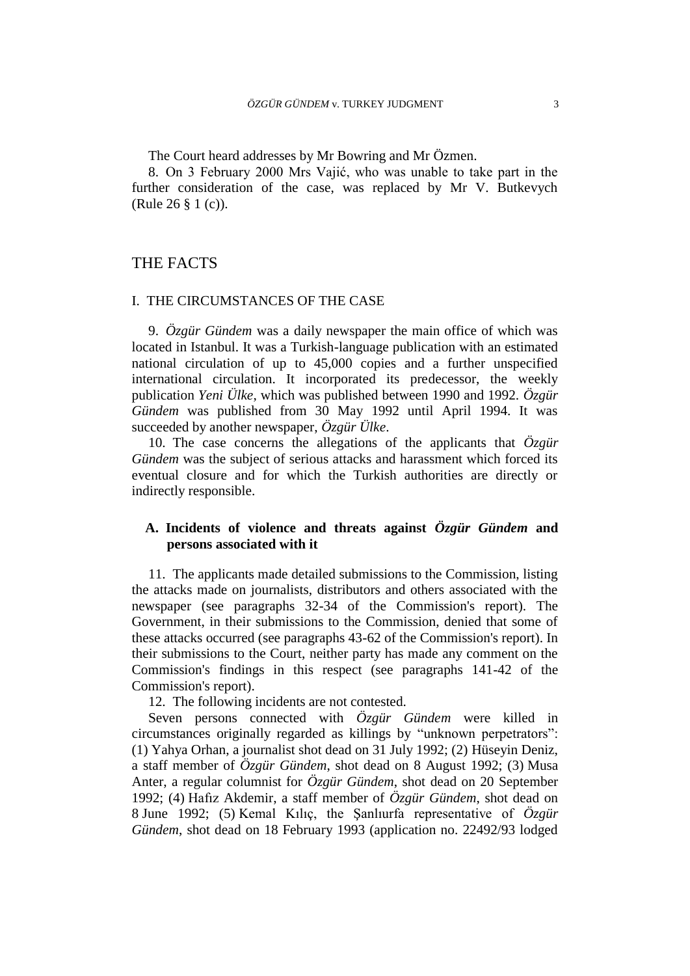The Court heard addresses by Mr Bowring and Mr Özmen.

8. On 3 February 2000 Mrs Vajić, who was unable to take part in the further consideration of the case, was replaced by Mr V. Butkevych (Rule 26 § 1 (c)).

## THE FACTS

## I. THE CIRCUMSTANCES OF THE CASE

9. *Özgür Gündem* was a daily newspaper the main office of which was located in Istanbul. It was a Turkish-language publication with an estimated national circulation of up to 45,000 copies and a further unspecified international circulation. It incorporated its predecessor, the weekly publication *Yeni Ülke*, which was published between 1990 and 1992. *Özgür Gündem* was published from 30 May 1992 until April 1994. It was succeeded by another newspaper, *Özgür Ülke*.

10. The case concerns the allegations of the applicants that *Özgür Gündem* was the subject of serious attacks and harassment which forced its eventual closure and for which the Turkish authorities are directly or indirectly responsible.

## **A. Incidents of violence and threats against** *Özgür Gündem* **and persons associated with it**

11. The applicants made detailed submissions to the Commission, listing the attacks made on journalists, distributors and others associated with the newspaper (see paragraphs 32-34 of the Commission's report). The Government, in their submissions to the Commission, denied that some of these attacks occurred (see paragraphs 43-62 of the Commission's report). In their submissions to the Court, neither party has made any comment on the Commission's findings in this respect (see paragraphs 141-42 of the Commission's report).

12. The following incidents are not contested.

Seven persons connected with *Özgür Gündem* were killed in circumstances originally regarded as killings by "unknown perpetrators": (1) Yahya Orhan, a journalist shot dead on 31 July 1992; (2) Hüseyin Deniz, a staff member of *Özgür Gündem*, shot dead on 8 August 1992; (3) Musa Anter, a regular columnist for *Özgür Gündem*, shot dead on 20 September 1992; (4) Hafız Akdemir, a staff member of *Özgür Gündem*, shot dead on 8 June 1992; (5) Kemal Kılıç, the Şanlıurfa representative of *Özgür Gündem*, shot dead on 18 February 1993 (application no. 22492/93 lodged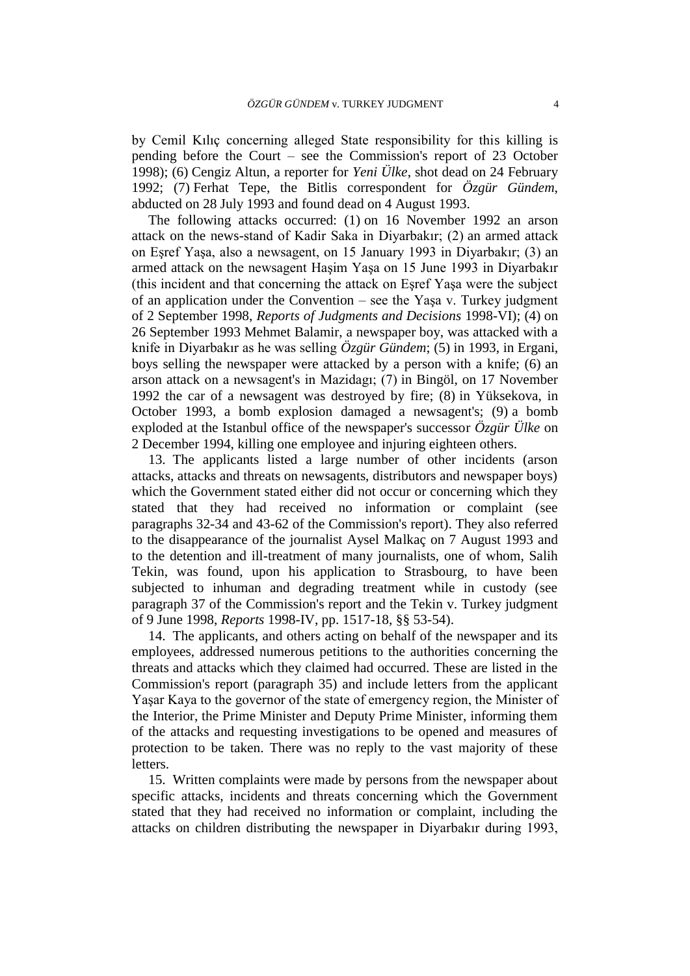by Cemil Kılıç concerning alleged State responsibility for this killing is pending before the Court – see the Commission's report of 23 October 1998); (6) Cengiz Altun, a reporter for *Yeni Ülke*, shot dead on 24 February 1992; (7) Ferhat Tepe, the Bitlis correspondent for *Özgür Gündem*, abducted on 28 July 1993 and found dead on 4 August 1993.

The following attacks occurred: (1) on 16 November 1992 an arson attack on the news-stand of Kadir Saka in Diyarbakır; (2) an armed attack on Eşref Yaşa, also a newsagent, on 15 January 1993 in Diyarbakır; (3) an armed attack on the newsagent Haşim Yaşa on 15 June 1993 in Diyarbakır (this incident and that concerning the attack on Eşref Yaşa were the subject of an application under the Convention – see the Yaşa v. Turkey judgment of 2 September 1998, *Reports of Judgments and Decisions* 1998-VI); (4) on 26 September 1993 Mehmet Balamir, a newspaper boy, was attacked with a knife in Diyarbakır as he was selling *Özgür Gündem*; (5) in 1993, in Ergani, boys selling the newspaper were attacked by a person with a knife; (6) an arson attack on a newsagent's in Mazidagı; (7) in Bingöl, on 17 November 1992 the car of a newsagent was destroyed by fire; (8) in Yüksekova, in October 1993, a bomb explosion damaged a newsagent's; (9) a bomb exploded at the Istanbul office of the newspaper's successor *Özgür Ülke* on 2 December 1994, killing one employee and injuring eighteen others.

13. The applicants listed a large number of other incidents (arson attacks, attacks and threats on newsagents, distributors and newspaper boys) which the Government stated either did not occur or concerning which they stated that they had received no information or complaint (see paragraphs 32-34 and 43-62 of the Commission's report). They also referred to the disappearance of the journalist Aysel Malkaç on 7 August 1993 and to the detention and ill-treatment of many journalists, one of whom, Salih Tekin, was found, upon his application to Strasbourg, to have been subjected to inhuman and degrading treatment while in custody (see paragraph 37 of the Commission's report and the Tekin v. Turkey judgment of 9 June 1998, *Reports* 1998-IV, pp. 1517-18, §§ 53-54).

14. The applicants, and others acting on behalf of the newspaper and its employees, addressed numerous petitions to the authorities concerning the threats and attacks which they claimed had occurred. These are listed in the Commission's report (paragraph 35) and include letters from the applicant Yaşar Kaya to the governor of the state of emergency region, the Minister of the Interior, the Prime Minister and Deputy Prime Minister, informing them of the attacks and requesting investigations to be opened and measures of protection to be taken. There was no reply to the vast majority of these letters.

15. Written complaints were made by persons from the newspaper about specific attacks, incidents and threats concerning which the Government stated that they had received no information or complaint, including the attacks on children distributing the newspaper in Diyarbakır during 1993,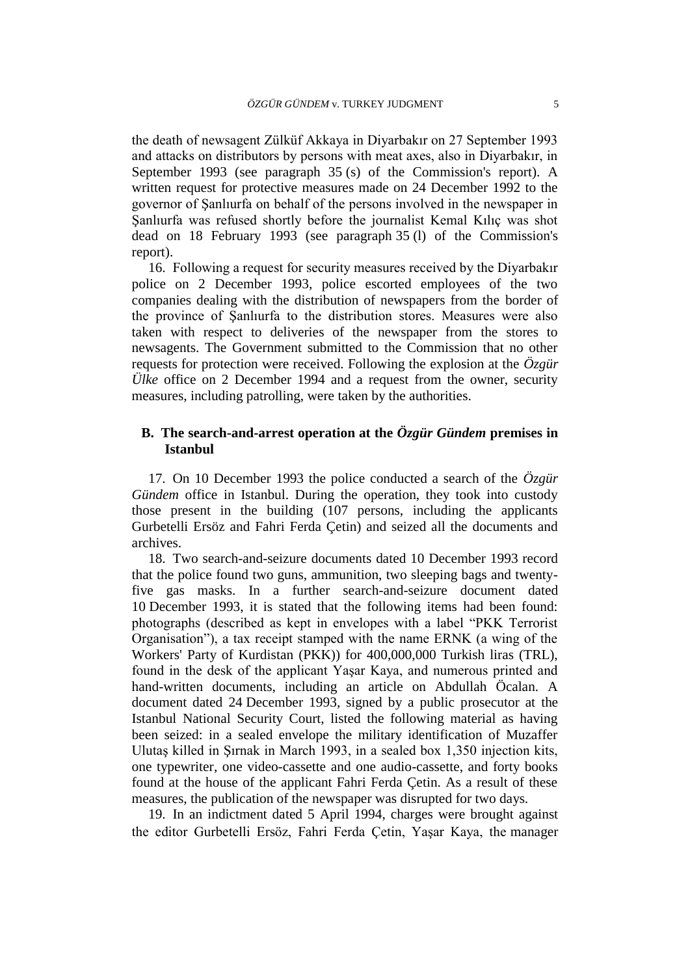the death of newsagent Zülküf Akkaya in Diyarbakır on 27 September 1993 and attacks on distributors by persons with meat axes, also in Diyarbakır, in September 1993 (see paragraph 35 (s) of the Commission's report). A written request for protective measures made on 24 December 1992 to the governor of Şanlıurfa on behalf of the persons involved in the newspaper in Şanlıurfa was refused shortly before the journalist Kemal Kılıç was shot dead on 18 February 1993 (see paragraph 35 (l) of the Commission's report).

16. Following a request for security measures received by the Diyarbakır police on 2 December 1993, police escorted employees of the two companies dealing with the distribution of newspapers from the border of the province of Şanlıurfa to the distribution stores. Measures were also taken with respect to deliveries of the newspaper from the stores to newsagents. The Government submitted to the Commission that no other requests for protection were received. Following the explosion at the *Özgür Ülke* office on 2 December 1994 and a request from the owner, security measures, including patrolling, were taken by the authorities.

## **B. The search-and-arrest operation at the** *Özgür Gündem* **premises in Istanbul**

17. On 10 December 1993 the police conducted a search of the *Özgür Gündem* office in Istanbul. During the operation, they took into custody those present in the building (107 persons, including the applicants Gurbetelli Ersöz and Fahri Ferda Çetin) and seized all the documents and archives.

18. Two search-and-seizure documents dated 10 December 1993 record that the police found two guns, ammunition, two sleeping bags and twentyfive gas masks. In a further search-and-seizure document dated 10 December 1993, it is stated that the following items had been found: photographs (described as kept in envelopes with a label "PKK Terrorist Organisation"), a tax receipt stamped with the name ERNK (a wing of the Workers' Party of Kurdistan (PKK)) for 400,000,000 Turkish liras (TRL), found in the desk of the applicant Yaşar Kaya, and numerous printed and hand-written documents, including an article on Abdullah Öcalan. A document dated 24 December 1993, signed by a public prosecutor at the Istanbul National Security Court, listed the following material as having been seized: in a sealed envelope the military identification of Muzaffer Ulutaş killed in Şırnak in March 1993, in a sealed box 1,350 injection kits, one typewriter, one video-cassette and one audio-cassette, and forty books found at the house of the applicant Fahri Ferda Çetin. As a result of these measures, the publication of the newspaper was disrupted for two days.

19. In an indictment dated 5 April 1994, charges were brought against the editor Gurbetelli Ersöz, Fahri Ferda Çetin, Yaşar Kaya, the manager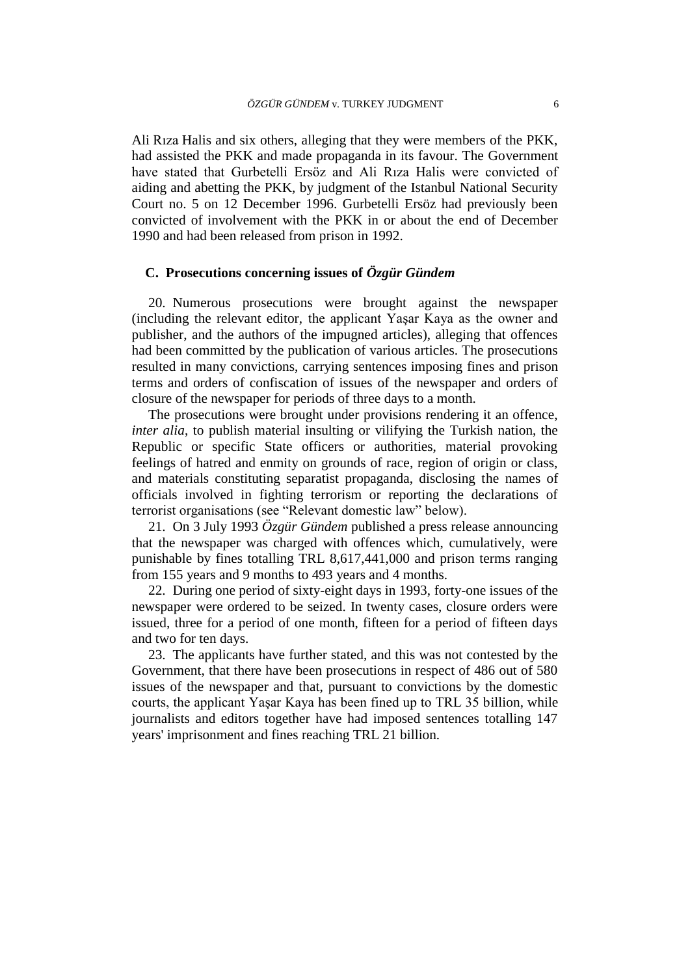Ali Rıza Halis and six others, alleging that they were members of the PKK, had assisted the PKK and made propaganda in its favour. The Government have stated that Gurbetelli Ersöz and Ali Rıza Halis were convicted of aiding and abetting the PKK, by judgment of the Istanbul National Security Court no. 5 on 12 December 1996. Gurbetelli Ersöz had previously been convicted of involvement with the PKK in or about the end of December 1990 and had been released from prison in 1992.

## **C. Prosecutions concerning issues of** *Özgür Gündem*

20. Numerous prosecutions were brought against the newspaper (including the relevant editor, the applicant Yaşar Kaya as the owner and publisher, and the authors of the impugned articles), alleging that offences had been committed by the publication of various articles. The prosecutions resulted in many convictions, carrying sentences imposing fines and prison terms and orders of confiscation of issues of the newspaper and orders of closure of the newspaper for periods of three days to a month.

The prosecutions were brought under provisions rendering it an offence, *inter alia*, to publish material insulting or vilifying the Turkish nation, the Republic or specific State officers or authorities, material provoking feelings of hatred and enmity on grounds of race, region of origin or class, and materials constituting separatist propaganda, disclosing the names of officials involved in fighting terrorism or reporting the declarations of terrorist organisations (see "Relevant domestic law" below).

21. On 3 July 1993 *Özgür Gündem* published a press release announcing that the newspaper was charged with offences which, cumulatively, were punishable by fines totalling TRL 8,617,441,000 and prison terms ranging from 155 years and 9 months to 493 years and 4 months.

22. During one period of sixty-eight days in 1993, forty-one issues of the newspaper were ordered to be seized. In twenty cases, closure orders were issued, three for a period of one month, fifteen for a period of fifteen days and two for ten days.

23. The applicants have further stated, and this was not contested by the Government, that there have been prosecutions in respect of 486 out of 580 issues of the newspaper and that, pursuant to convictions by the domestic courts, the applicant Yaşar Kaya has been fined up to TRL 35 billion, while journalists and editors together have had imposed sentences totalling 147 years' imprisonment and fines reaching TRL 21 billion.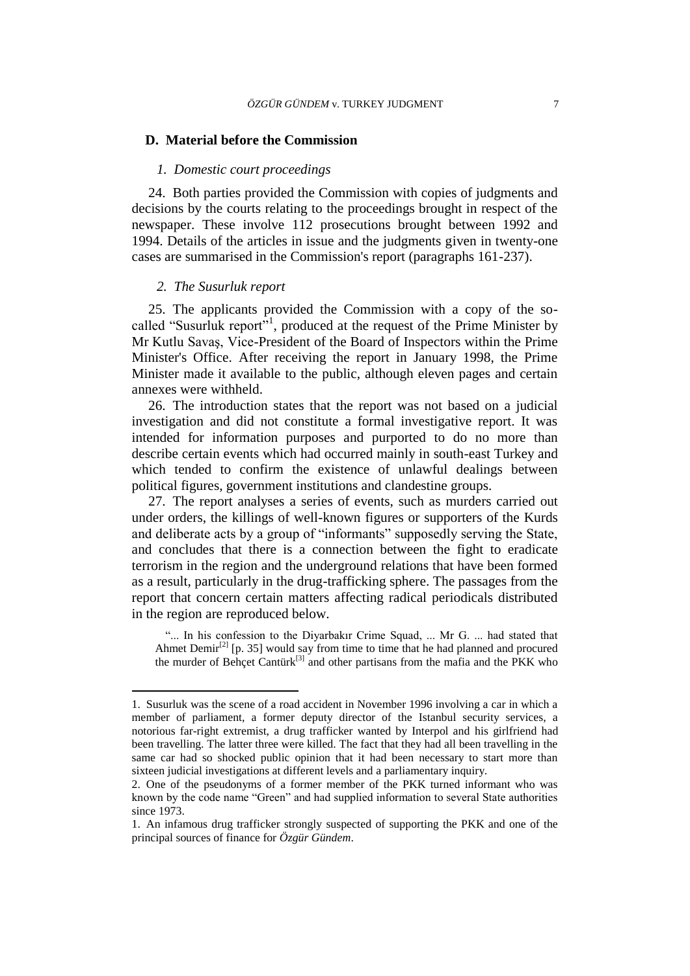#### **D. Material before the Commission**

#### *1. Domestic court proceedings*

24. Both parties provided the Commission with copies of judgments and decisions by the courts relating to the proceedings brought in respect of the newspaper. These involve 112 prosecutions brought between 1992 and 1994. Details of the articles in issue and the judgments given in twenty-one cases are summarised in the Commission's report (paragraphs 161-237).

#### *2. The Susurluk report*

 $\overline{a}$ 

25. The applicants provided the Commission with a copy of the socalled "Susurluk report"<sup>1</sup>, produced at the request of the Prime Minister by Mr Kutlu Savaş, Vice-President of the Board of Inspectors within the Prime Minister's Office. After receiving the report in January 1998, the Prime Minister made it available to the public, although eleven pages and certain annexes were withheld.

26. The introduction states that the report was not based on a judicial investigation and did not constitute a formal investigative report. It was intended for information purposes and purported to do no more than describe certain events which had occurred mainly in south-east Turkey and which tended to confirm the existence of unlawful dealings between political figures, government institutions and clandestine groups.

27. The report analyses a series of events, such as murders carried out under orders, the killings of well-known figures or supporters of the Kurds and deliberate acts by a group of "informants" supposedly serving the State, and concludes that there is a connection between the fight to eradicate terrorism in the region and the underground relations that have been formed as a result, particularly in the drug-trafficking sphere. The passages from the report that concern certain matters affecting radical periodicals distributed in the region are reproduced below.

"... In his confession to the Diyarbakır Crime Squad, ... Mr G. ... had stated that Ahmet Demir<sup>[2]</sup> [p. 35] would say from time to time that he had planned and procured the murder of Behçet Cantürk<sup>[3]</sup> and other partisans from the mafia and the PKK who

<sup>1.</sup> Susurluk was the scene of a road accident in November 1996 involving a car in which a member of parliament, a former deputy director of the Istanbul security services, a notorious far-right extremist, a drug trafficker wanted by Interpol and his girlfriend had been travelling. The latter three were killed. The fact that they had all been travelling in the same car had so shocked public opinion that it had been necessary to start more than sixteen judicial investigations at different levels and a parliamentary inquiry.

<sup>2.</sup> One of the pseudonyms of a former member of the PKK turned informant who was known by the code name "Green" and had supplied information to several State authorities since 1973.

<sup>1.</sup> An infamous drug trafficker strongly suspected of supporting the PKK and one of the principal sources of finance for *Özgür Gündem*.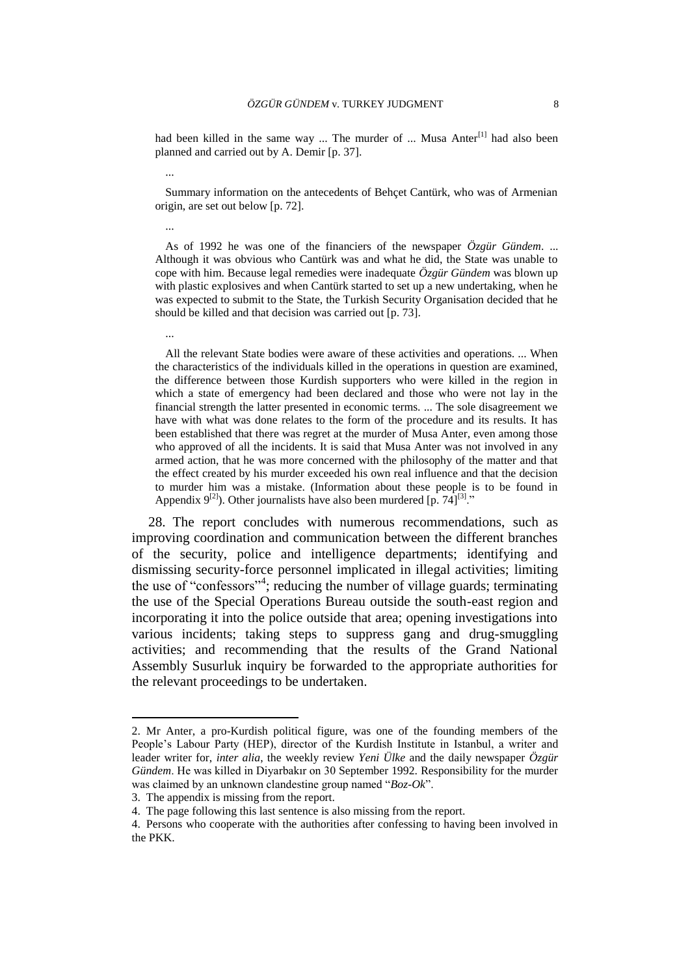had been killed in the same way ... The murder of ... Musa Anter<sup>[1]</sup> had also been planned and carried out by A. Demir [p. 37].

Summary information on the antecedents of Behçet Cantürk, who was of Armenian origin, are set out below [p. 72].

As of 1992 he was one of the financiers of the newspaper *Özgür Gündem*. ... Although it was obvious who Cantürk was and what he did, the State was unable to cope with him. Because legal remedies were inadequate *Özgür Gündem* was blown up with plastic explosives and when Cantürk started to set up a new undertaking, when he was expected to submit to the State, the Turkish Security Organisation decided that he should be killed and that decision was carried out [p. 73].

All the relevant State bodies were aware of these activities and operations. ... When the characteristics of the individuals killed in the operations in question are examined, the difference between those Kurdish supporters who were killed in the region in which a state of emergency had been declared and those who were not lay in the financial strength the latter presented in economic terms. ... The sole disagreement we have with what was done relates to the form of the procedure and its results. It has been established that there was regret at the murder of Musa Anter, even among those who approved of all the incidents. It is said that Musa Anter was not involved in any armed action, that he was more concerned with the philosophy of the matter and that the effect created by his murder exceeded his own real influence and that the decision to murder him was a mistake. (Information about these people is to be found in Appendix  $9^{[2]}$ ). Other journalists have also been murdered [p. 74]<sup>[3]</sup>."

28. The report concludes with numerous recommendations, such as improving coordination and communication between the different branches of the security, police and intelligence departments; identifying and dismissing security-force personnel implicated in illegal activities; limiting the use of "confessors"<sup>4</sup>; reducing the number of village guards; terminating the use of the Special Operations Bureau outside the south-east region and incorporating it into the police outside that area; opening investigations into various incidents; taking steps to suppress gang and drug-smuggling activities; and recommending that the results of the Grand National Assembly Susurluk inquiry be forwarded to the appropriate authorities for the relevant proceedings to be undertaken.

...

...

...

 $\overline{a}$ 

<sup>2.</sup> Mr Anter, a pro-Kurdish political figure, was one of the founding members of the People's Labour Party (HEP), director of the Kurdish Institute in Istanbul, a writer and leader writer for, *inter alia*, the weekly review *Yeni Ülke* and the daily newspaper *Özgür Gündem*. He was killed in Diyarbakır on 30 September 1992. Responsibility for the murder was claimed by an unknown clandestine group named "*Boz-Ok*".

<sup>3.</sup> The appendix is missing from the report.

<sup>4.</sup> The page following this last sentence is also missing from the report.

<sup>4.</sup> Persons who cooperate with the authorities after confessing to having been involved in the PKK.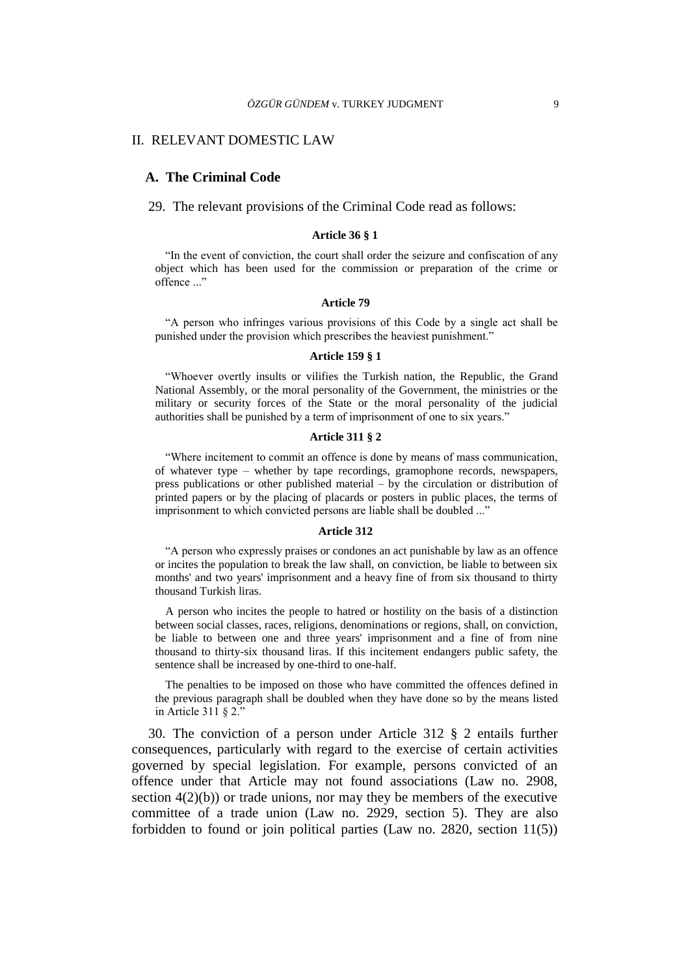#### II. RELEVANT DOMESTIC LAW

#### **A. The Criminal Code**

29. The relevant provisions of the Criminal Code read as follows:

#### **Article 36 § 1**

"In the event of conviction, the court shall order the seizure and confiscation of any object which has been used for the commission or preparation of the crime or offence ..."

#### **Article 79**

"A person who infringes various provisions of this Code by a single act shall be punished under the provision which prescribes the heaviest punishment."

#### **Article 159 § 1**

"Whoever overtly insults or vilifies the Turkish nation, the Republic, the Grand National Assembly, or the moral personality of the Government, the ministries or the military or security forces of the State or the moral personality of the judicial authorities shall be punished by a term of imprisonment of one to six years."

## **Article 311 § 2**

"Where incitement to commit an offence is done by means of mass communication, of whatever type – whether by tape recordings, gramophone records, newspapers, press publications or other published material – by the circulation or distribution of printed papers or by the placing of placards or posters in public places, the terms of imprisonment to which convicted persons are liable shall be doubled ..."

#### **Article 312**

"A person who expressly praises or condones an act punishable by law as an offence or incites the population to break the law shall, on conviction, be liable to between six months' and two years' imprisonment and a heavy fine of from six thousand to thirty thousand Turkish liras.

A person who incites the people to hatred or hostility on the basis of a distinction between social classes, races, religions, denominations or regions, shall, on conviction, be liable to between one and three years' imprisonment and a fine of from nine thousand to thirty-six thousand liras. If this incitement endangers public safety, the sentence shall be increased by one-third to one-half.

The penalties to be imposed on those who have committed the offences defined in the previous paragraph shall be doubled when they have done so by the means listed in Article 311 § 2."

30. The conviction of a person under Article 312 § 2 entails further consequences, particularly with regard to the exercise of certain activities governed by special legislation. For example, persons convicted of an offence under that Article may not found associations (Law no. 2908, section  $4(2)(b)$  or trade unions, nor may they be members of the executive committee of a trade union (Law no. 2929, section 5). They are also forbidden to found or join political parties (Law no. 2820, section 11(5))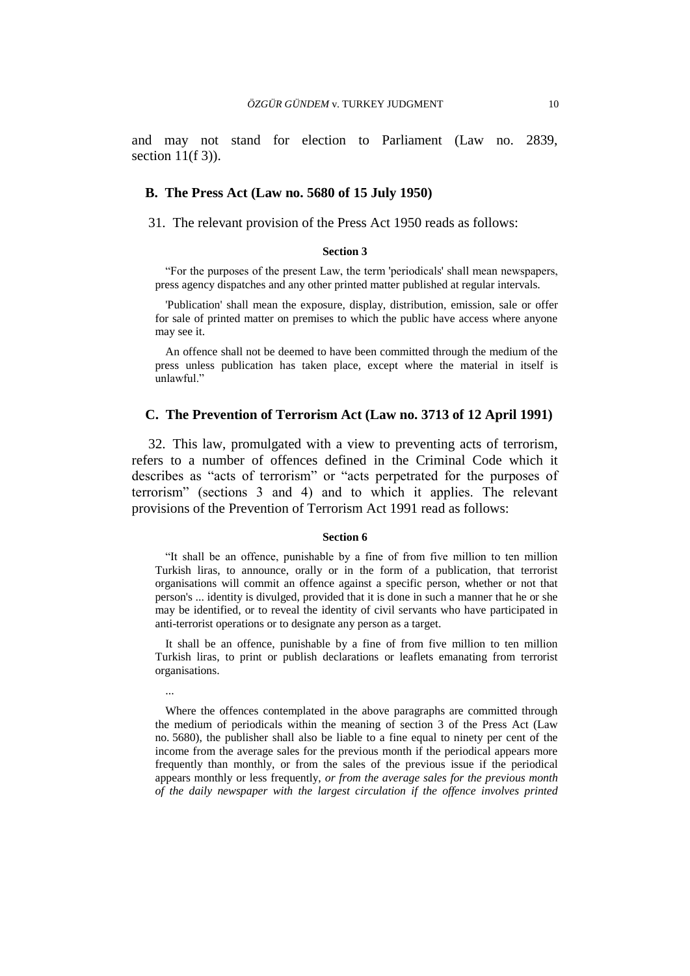and may not stand for election to Parliament (Law no. 2839, section  $11(f\,3)$ ).

#### **B. The Press Act (Law no. 5680 of 15 July 1950)**

31. The relevant provision of the Press Act 1950 reads as follows:

#### **Section 3**

"For the purposes of the present Law, the term 'periodicals' shall mean newspapers, press agency dispatches and any other printed matter published at regular intervals.

'Publication' shall mean the exposure, display, distribution, emission, sale or offer for sale of printed matter on premises to which the public have access where anyone may see it.

An offence shall not be deemed to have been committed through the medium of the press unless publication has taken place, except where the material in itself is unlawful."

## **C. The Prevention of Terrorism Act (Law no. 3713 of 12 April 1991)**

32. This law, promulgated with a view to preventing acts of terrorism, refers to a number of offences defined in the Criminal Code which it describes as "acts of terrorism" or "acts perpetrated for the purposes of terrorism" (sections 3 and 4) and to which it applies. The relevant provisions of the Prevention of Terrorism Act 1991 read as follows:

#### **Section 6**

"It shall be an offence, punishable by a fine of from five million to ten million Turkish liras, to announce, orally or in the form of a publication, that terrorist organisations will commit an offence against a specific person, whether or not that person's ... identity is divulged, provided that it is done in such a manner that he or she may be identified, or to reveal the identity of civil servants who have participated in anti-terrorist operations or to designate any person as a target.

It shall be an offence, punishable by a fine of from five million to ten million Turkish liras, to print or publish declarations or leaflets emanating from terrorist organisations.

...

Where the offences contemplated in the above paragraphs are committed through the medium of periodicals within the meaning of section 3 of the Press Act (Law no. 5680), the publisher shall also be liable to a fine equal to ninety per cent of the income from the average sales for the previous month if the periodical appears more frequently than monthly, or from the sales of the previous issue if the periodical appears monthly or less frequently, *or from the average sales for the previous month of the daily newspaper with the largest circulation if the offence involves printed*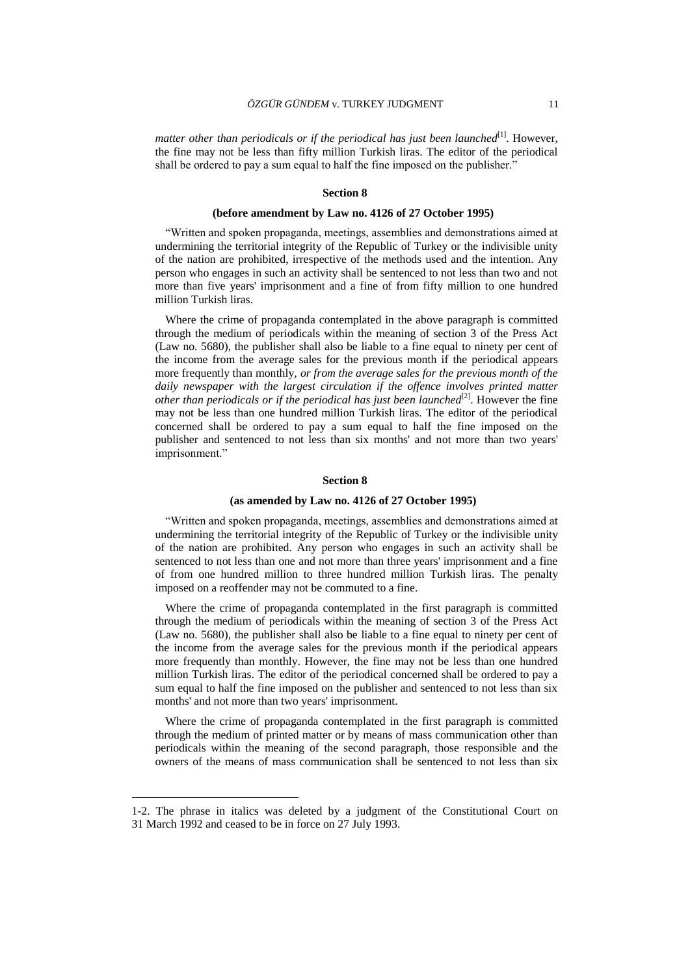matter other than periodicals or if the periodical has just been launched<sup>[1]</sup>. However, the fine may not be less than fifty million Turkish liras. The editor of the periodical shall be ordered to pay a sum equal to half the fine imposed on the publisher."

#### **Section 8**

#### **(before amendment by Law no. 4126 of 27 October 1995)**

"Written and spoken propaganda, meetings, assemblies and demonstrations aimed at undermining the territorial integrity of the Republic of Turkey or the indivisible unity of the nation are prohibited, irrespective of the methods used and the intention. Any person who engages in such an activity shall be sentenced to not less than two and not more than five years' imprisonment and a fine of from fifty million to one hundred million Turkish liras.

Where the crime of propaganda contemplated in the above paragraph is committed through the medium of periodicals within the meaning of section 3 of the Press Act (Law no. 5680), the publisher shall also be liable to a fine equal to ninety per cent of the income from the average sales for the previous month if the periodical appears more frequently than monthly, *or from the average sales for the previous month of the daily newspaper with the largest circulation if the offence involves printed matter* other than periodicals or if the periodical has just been launched<sup>[2]</sup>. However the fine may not be less than one hundred million Turkish liras. The editor of the periodical concerned shall be ordered to pay a sum equal to half the fine imposed on the publisher and sentenced to not less than six months' and not more than two years' imprisonment."

#### **Section 8**

#### **(as amended by Law no. 4126 of 27 October 1995)**

"Written and spoken propaganda, meetings, assemblies and demonstrations aimed at undermining the territorial integrity of the Republic of Turkey or the indivisible unity of the nation are prohibited. Any person who engages in such an activity shall be sentenced to not less than one and not more than three years' imprisonment and a fine of from one hundred million to three hundred million Turkish liras. The penalty imposed on a reoffender may not be commuted to a fine.

Where the crime of propaganda contemplated in the first paragraph is committed through the medium of periodicals within the meaning of section 3 of the Press Act (Law no. 5680), the publisher shall also be liable to a fine equal to ninety per cent of the income from the average sales for the previous month if the periodical appears more frequently than monthly. However, the fine may not be less than one hundred million Turkish liras. The editor of the periodical concerned shall be ordered to pay a sum equal to half the fine imposed on the publisher and sentenced to not less than six months' and not more than two years' imprisonment.

Where the crime of propaganda contemplated in the first paragraph is committed through the medium of printed matter or by means of mass communication other than periodicals within the meaning of the second paragraph, those responsible and the owners of the means of mass communication shall be sentenced to not less than six

 $\overline{a}$ 

<sup>1-2.</sup> The phrase in italics was deleted by a judgment of the Constitutional Court on 31 March 1992 and ceased to be in force on 27 July 1993.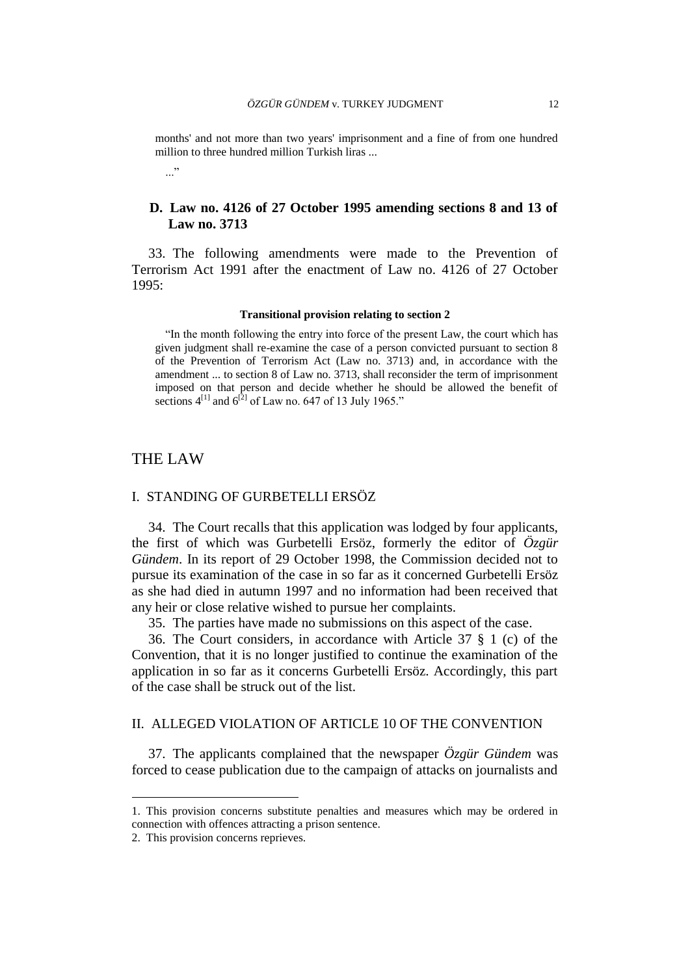months' and not more than two years' imprisonment and a fine of from one hundred million to three hundred million Turkish liras ...

..."

## **D. Law no. 4126 of 27 October 1995 amending sections 8 and 13 of Law no. 3713**

33. The following amendments were made to the Prevention of Terrorism Act 1991 after the enactment of Law no. 4126 of 27 October 1995:

#### **Transitional provision relating to section 2**

"In the month following the entry into force of the present Law, the court which has given judgment shall re-examine the case of a person convicted pursuant to section 8 of the Prevention of Terrorism Act (Law no. 3713) and, in accordance with the amendment ... to section 8 of Law no. 3713, shall reconsider the term of imprisonment imposed on that person and decide whether he should be allowed the benefit of sections  $4^{[1]}$  and  $6^{[2]}$  of Law no. 647 of 13 July 1965."

## THE LAW

## I. STANDING OF GURBETELLI ERSÖZ

34. The Court recalls that this application was lodged by four applicants, the first of which was Gurbetelli Ersöz, formerly the editor of *Özgür Gündem*. In its report of 29 October 1998, the Commission decided not to pursue its examination of the case in so far as it concerned Gurbetelli Ersöz as she had died in autumn 1997 and no information had been received that any heir or close relative wished to pursue her complaints.

35. The parties have made no submissions on this aspect of the case.

36. The Court considers, in accordance with Article 37 § 1 (c) of the Convention, that it is no longer justified to continue the examination of the application in so far as it concerns Gurbetelli Ersöz. Accordingly, this part of the case shall be struck out of the list.

## II. ALLEGED VIOLATION OF ARTICLE 10 OF THE CONVENTION

37. The applicants complained that the newspaper *Özgür Gündem* was forced to cease publication due to the campaign of attacks on journalists and

 $\overline{a}$ 

<sup>1.</sup> This provision concerns substitute penalties and measures which may be ordered in connection with offences attracting a prison sentence.

<sup>2.</sup> This provision concerns reprieves.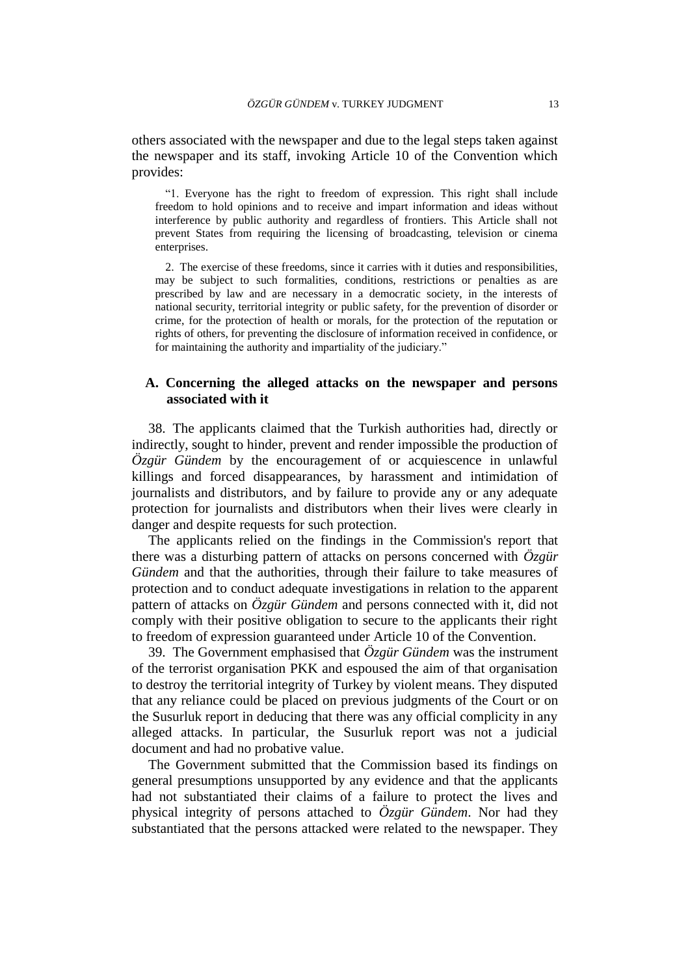others associated with the newspaper and due to the legal steps taken against the newspaper and its staff, invoking Article 10 of the Convention which provides:

"1. Everyone has the right to freedom of expression. This right shall include freedom to hold opinions and to receive and impart information and ideas without interference by public authority and regardless of frontiers. This Article shall not prevent States from requiring the licensing of broadcasting, television or cinema enterprises.

2. The exercise of these freedoms, since it carries with it duties and responsibilities, may be subject to such formalities, conditions, restrictions or penalties as are prescribed by law and are necessary in a democratic society, in the interests of national security, territorial integrity or public safety, for the prevention of disorder or crime, for the protection of health or morals, for the protection of the reputation or rights of others, for preventing the disclosure of information received in confidence, or for maintaining the authority and impartiality of the judiciary."

## **A. Concerning the alleged attacks on the newspaper and persons associated with it**

38. The applicants claimed that the Turkish authorities had, directly or indirectly, sought to hinder, prevent and render impossible the production of *Özgür Gündem* by the encouragement of or acquiescence in unlawful killings and forced disappearances, by harassment and intimidation of journalists and distributors, and by failure to provide any or any adequate protection for journalists and distributors when their lives were clearly in danger and despite requests for such protection.

The applicants relied on the findings in the Commission's report that there was a disturbing pattern of attacks on persons concerned with *Özgür Gündem* and that the authorities, through their failure to take measures of protection and to conduct adequate investigations in relation to the apparent pattern of attacks on *Özgür Gündem* and persons connected with it, did not comply with their positive obligation to secure to the applicants their right to freedom of expression guaranteed under Article 10 of the Convention.

39. The Government emphasised that *Özgür Gündem* was the instrument of the terrorist organisation PKK and espoused the aim of that organisation to destroy the territorial integrity of Turkey by violent means. They disputed that any reliance could be placed on previous judgments of the Court or on the Susurluk report in deducing that there was any official complicity in any alleged attacks. In particular, the Susurluk report was not a judicial document and had no probative value.

The Government submitted that the Commission based its findings on general presumptions unsupported by any evidence and that the applicants had not substantiated their claims of a failure to protect the lives and physical integrity of persons attached to *Özgür Gündem*. Nor had they substantiated that the persons attacked were related to the newspaper. They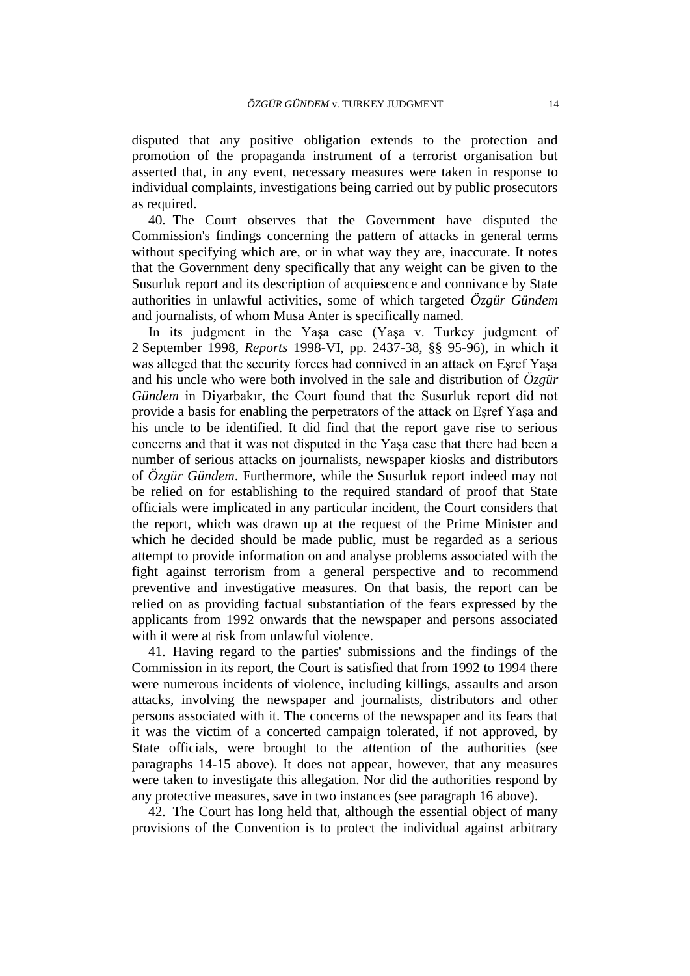disputed that any positive obligation extends to the protection and promotion of the propaganda instrument of a terrorist organisation but asserted that, in any event, necessary measures were taken in response to individual complaints, investigations being carried out by public prosecutors as required.

40. The Court observes that the Government have disputed the Commission's findings concerning the pattern of attacks in general terms without specifying which are, or in what way they are, inaccurate. It notes that the Government deny specifically that any weight can be given to the Susurluk report and its description of acquiescence and connivance by State authorities in unlawful activities, some of which targeted *Özgür Gündem* and journalists, of whom Musa Anter is specifically named.

In its judgment in the Yaşa case (Yaşa v. Turkey judgment of 2 September 1998, *Reports* 1998-VI, pp. 2437-38, §§ 95-96), in which it was alleged that the security forces had connived in an attack on Eşref Yaşa and his uncle who were both involved in the sale and distribution of *Özgür Gündem* in Diyarbakır, the Court found that the Susurluk report did not provide a basis for enabling the perpetrators of the attack on Eşref Yaşa and his uncle to be identified. It did find that the report gave rise to serious concerns and that it was not disputed in the Yaşa case that there had been a number of serious attacks on journalists, newspaper kiosks and distributors of *Özgür Gündem*. Furthermore, while the Susurluk report indeed may not be relied on for establishing to the required standard of proof that State officials were implicated in any particular incident, the Court considers that the report, which was drawn up at the request of the Prime Minister and which he decided should be made public, must be regarded as a serious attempt to provide information on and analyse problems associated with the fight against terrorism from a general perspective and to recommend preventive and investigative measures. On that basis, the report can be relied on as providing factual substantiation of the fears expressed by the applicants from 1992 onwards that the newspaper and persons associated with it were at risk from unlawful violence.

41. Having regard to the parties' submissions and the findings of the Commission in its report, the Court is satisfied that from 1992 to 1994 there were numerous incidents of violence, including killings, assaults and arson attacks, involving the newspaper and journalists, distributors and other persons associated with it. The concerns of the newspaper and its fears that it was the victim of a concerted campaign tolerated, if not approved, by State officials, were brought to the attention of the authorities (see paragraphs 14-15 above). It does not appear, however, that any measures were taken to investigate this allegation. Nor did the authorities respond by any protective measures, save in two instances (see paragraph 16 above).

42. The Court has long held that, although the essential object of many provisions of the Convention is to protect the individual against arbitrary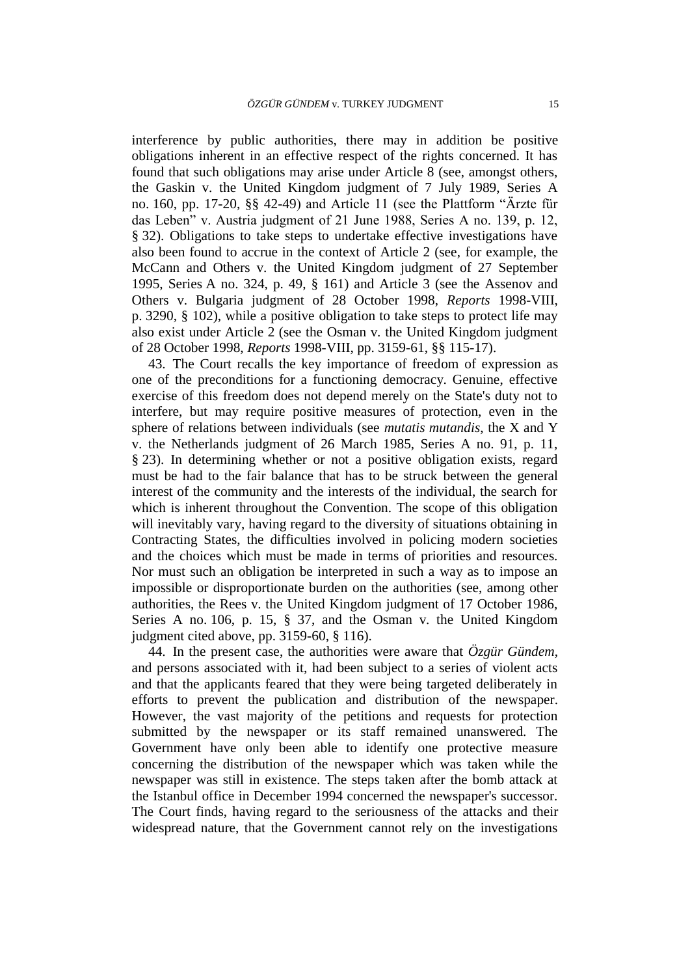interference by public authorities, there may in addition be positive obligations inherent in an effective respect of the rights concerned. It has found that such obligations may arise under Article 8 (see, amongst others, the Gaskin v. the United Kingdom judgment of 7 July 1989, Series A no. 160, pp. 17-20, §§ 42-49) and Article 11 (see the Plattform "Ärzte für das Leben" v. Austria judgment of 21 June 1988, Series A no. 139, p. 12, § 32). Obligations to take steps to undertake effective investigations have also been found to accrue in the context of Article 2 (see, for example, the McCann and Others v. the United Kingdom judgment of 27 September 1995, Series A no. 324, p. 49, § 161) and Article 3 (see the Assenov and Others v. Bulgaria judgment of 28 October 1998, *Reports* 1998-VIII, p. 3290, § 102), while a positive obligation to take steps to protect life may also exist under Article 2 (see the Osman v. the United Kingdom judgment of 28 October 1998, *Reports* 1998-VIII, pp. 3159-61, §§ 115-17).

43. The Court recalls the key importance of freedom of expression as one of the preconditions for a functioning democracy. Genuine, effective exercise of this freedom does not depend merely on the State's duty not to interfere, but may require positive measures of protection, even in the sphere of relations between individuals (see *mutatis mutandis*, the X and Y v. the Netherlands judgment of 26 March 1985, Series A no. 91, p. 11, § 23). In determining whether or not a positive obligation exists, regard must be had to the fair balance that has to be struck between the general interest of the community and the interests of the individual, the search for which is inherent throughout the Convention. The scope of this obligation will inevitably vary, having regard to the diversity of situations obtaining in Contracting States, the difficulties involved in policing modern societies and the choices which must be made in terms of priorities and resources. Nor must such an obligation be interpreted in such a way as to impose an impossible or disproportionate burden on the authorities (see, among other authorities, the Rees v. the United Kingdom judgment of 17 October 1986, Series A no. 106, p. 15, § 37, and the Osman v. the United Kingdom judgment cited above, pp. 3159-60, § 116).

44. In the present case, the authorities were aware that  $\ddot{O}$ *zgür Gündem*, and persons associated with it, had been subject to a series of violent acts and that the applicants feared that they were being targeted deliberately in efforts to prevent the publication and distribution of the newspaper. However, the vast majority of the petitions and requests for protection submitted by the newspaper or its staff remained unanswered. The Government have only been able to identify one protective measure concerning the distribution of the newspaper which was taken while the newspaper was still in existence. The steps taken after the bomb attack at the Istanbul office in December 1994 concerned the newspaper's successor. The Court finds, having regard to the seriousness of the attacks and their widespread nature, that the Government cannot rely on the investigations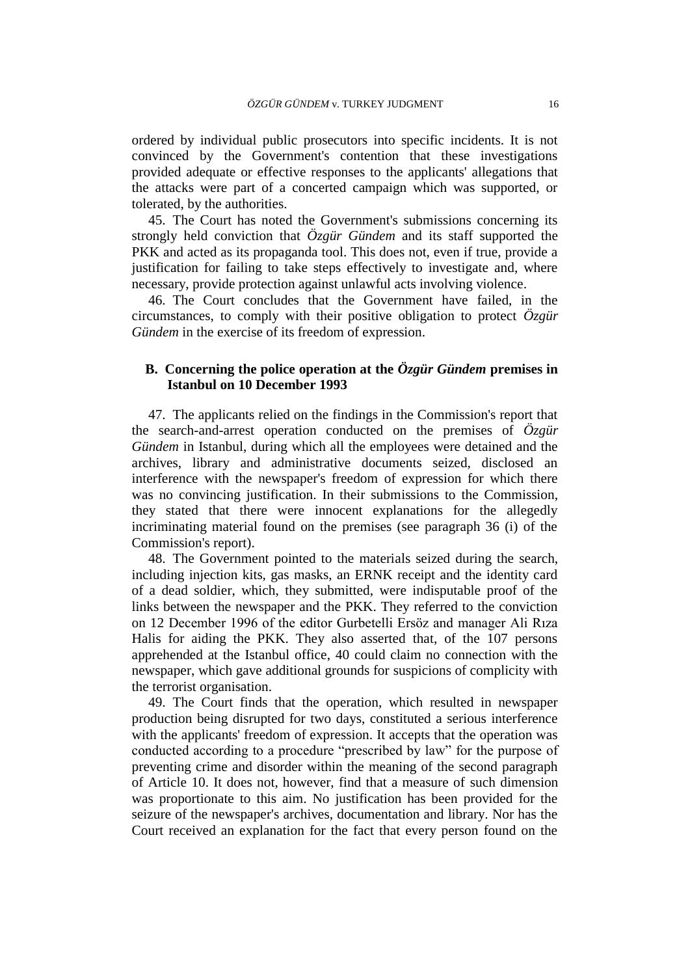ordered by individual public prosecutors into specific incidents. It is not convinced by the Government's contention that these investigations provided adequate or effective responses to the applicants' allegations that the attacks were part of a concerted campaign which was supported, or tolerated, by the authorities.

45. The Court has noted the Government's submissions concerning its strongly held conviction that *Özgür Gündem* and its staff supported the PKK and acted as its propaganda tool. This does not, even if true, provide a justification for failing to take steps effectively to investigate and, where necessary, provide protection against unlawful acts involving violence.

46. The Court concludes that the Government have failed, in the circumstances, to comply with their positive obligation to protect *Özgür Gündem* in the exercise of its freedom of expression.

## **B. Concerning the police operation at the** *Özgür Gündem* **premises in Istanbul on 10 December 1993**

47. The applicants relied on the findings in the Commission's report that the search-and-arrest operation conducted on the premises of *Özgür Gündem* in Istanbul, during which all the employees were detained and the archives, library and administrative documents seized, disclosed an interference with the newspaper's freedom of expression for which there was no convincing justification. In their submissions to the Commission, they stated that there were innocent explanations for the allegedly incriminating material found on the premises (see paragraph 36 (i) of the Commission's report).

48. The Government pointed to the materials seized during the search, including injection kits, gas masks, an ERNK receipt and the identity card of a dead soldier, which, they submitted, were indisputable proof of the links between the newspaper and the PKK. They referred to the conviction on 12 December 1996 of the editor Gurbetelli Ersöz and manager Ali Rıza Halis for aiding the PKK. They also asserted that, of the 107 persons apprehended at the Istanbul office, 40 could claim no connection with the newspaper, which gave additional grounds for suspicions of complicity with the terrorist organisation.

49. The Court finds that the operation, which resulted in newspaper production being disrupted for two days, constituted a serious interference with the applicants' freedom of expression. It accepts that the operation was conducted according to a procedure "prescribed by law" for the purpose of preventing crime and disorder within the meaning of the second paragraph of Article 10. It does not, however, find that a measure of such dimension was proportionate to this aim. No justification has been provided for the seizure of the newspaper's archives, documentation and library. Nor has the Court received an explanation for the fact that every person found on the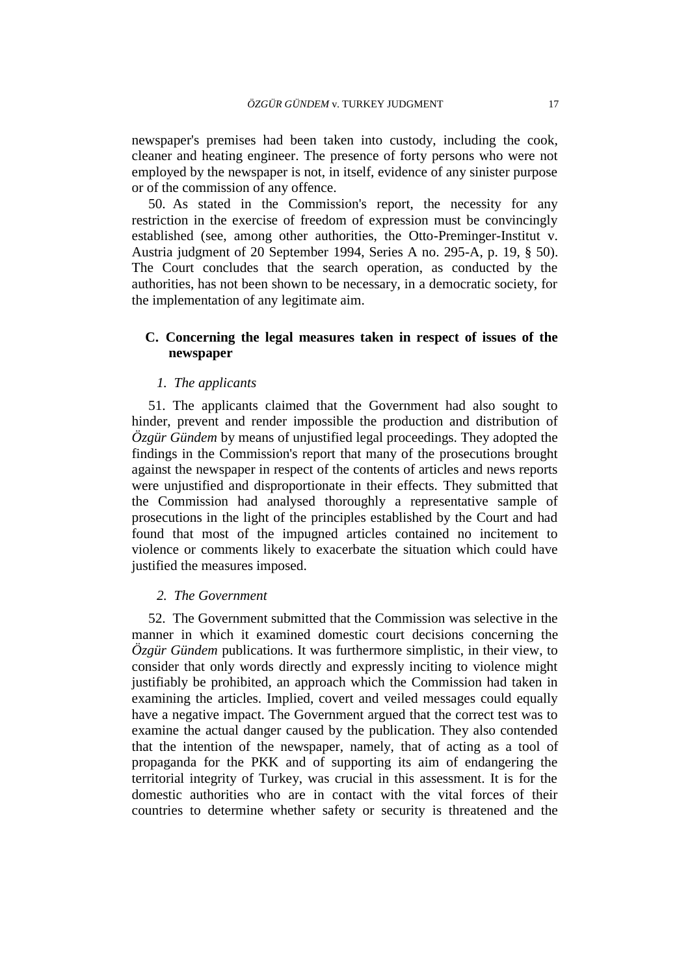newspaper's premises had been taken into custody, including the cook, cleaner and heating engineer. The presence of forty persons who were not employed by the newspaper is not, in itself, evidence of any sinister purpose or of the commission of any offence.

50. As stated in the Commission's report, the necessity for any restriction in the exercise of freedom of expression must be convincingly established (see, among other authorities, the Otto-Preminger-Institut v. Austria judgment of 20 September 1994, Series A no. 295-A, p. 19, § 50). The Court concludes that the search operation, as conducted by the authorities, has not been shown to be necessary, in a democratic society, for the implementation of any legitimate aim.

## **C. Concerning the legal measures taken in respect of issues of the newspaper**

#### *1. The applicants*

51. The applicants claimed that the Government had also sought to hinder, prevent and render impossible the production and distribution of *Özgür Gündem* by means of unjustified legal proceedings. They adopted the findings in the Commission's report that many of the prosecutions brought against the newspaper in respect of the contents of articles and news reports were unjustified and disproportionate in their effects. They submitted that the Commission had analysed thoroughly a representative sample of prosecutions in the light of the principles established by the Court and had found that most of the impugned articles contained no incitement to violence or comments likely to exacerbate the situation which could have justified the measures imposed.

## *2. The Government*

52. The Government submitted that the Commission was selective in the manner in which it examined domestic court decisions concerning the *Özgür Gündem* publications. It was furthermore simplistic, in their view, to consider that only words directly and expressly inciting to violence might justifiably be prohibited, an approach which the Commission had taken in examining the articles. Implied, covert and veiled messages could equally have a negative impact. The Government argued that the correct test was to examine the actual danger caused by the publication. They also contended that the intention of the newspaper, namely, that of acting as a tool of propaganda for the PKK and of supporting its aim of endangering the territorial integrity of Turkey, was crucial in this assessment. It is for the domestic authorities who are in contact with the vital forces of their countries to determine whether safety or security is threatened and the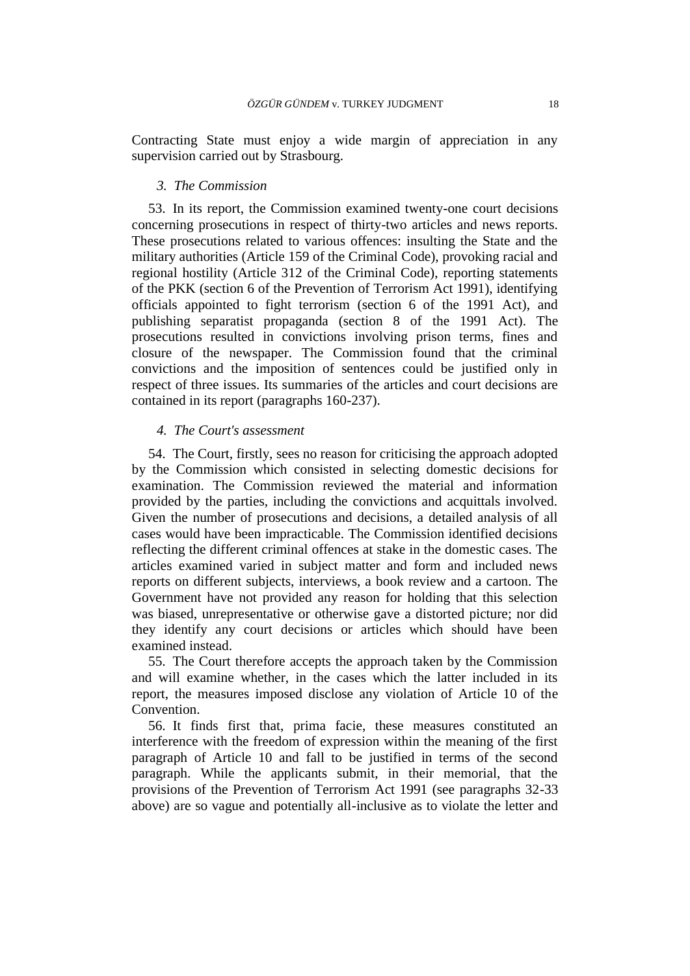Contracting State must enjoy a wide margin of appreciation in any supervision carried out by Strasbourg.

#### *3. The Commission*

53. In its report, the Commission examined twenty-one court decisions concerning prosecutions in respect of thirty-two articles and news reports. These prosecutions related to various offences: insulting the State and the military authorities (Article 159 of the Criminal Code), provoking racial and regional hostility (Article 312 of the Criminal Code), reporting statements of the PKK (section 6 of the Prevention of Terrorism Act 1991), identifying officials appointed to fight terrorism (section 6 of the 1991 Act), and publishing separatist propaganda (section 8 of the 1991 Act). The prosecutions resulted in convictions involving prison terms, fines and closure of the newspaper. The Commission found that the criminal convictions and the imposition of sentences could be justified only in respect of three issues. Its summaries of the articles and court decisions are contained in its report (paragraphs 160-237).

## *4. The Court's assessment*

54. The Court, firstly, sees no reason for criticising the approach adopted by the Commission which consisted in selecting domestic decisions for examination. The Commission reviewed the material and information provided by the parties, including the convictions and acquittals involved. Given the number of prosecutions and decisions, a detailed analysis of all cases would have been impracticable. The Commission identified decisions reflecting the different criminal offences at stake in the domestic cases. The articles examined varied in subject matter and form and included news reports on different subjects, interviews, a book review and a cartoon. The Government have not provided any reason for holding that this selection was biased, unrepresentative or otherwise gave a distorted picture; nor did they identify any court decisions or articles which should have been examined instead.

55. The Court therefore accepts the approach taken by the Commission and will examine whether, in the cases which the latter included in its report, the measures imposed disclose any violation of Article 10 of the Convention.

56. It finds first that, prima facie, these measures constituted an interference with the freedom of expression within the meaning of the first paragraph of Article 10 and fall to be justified in terms of the second paragraph. While the applicants submit, in their memorial, that the provisions of the Prevention of Terrorism Act 1991 (see paragraphs 32-33 above) are so vague and potentially all-inclusive as to violate the letter and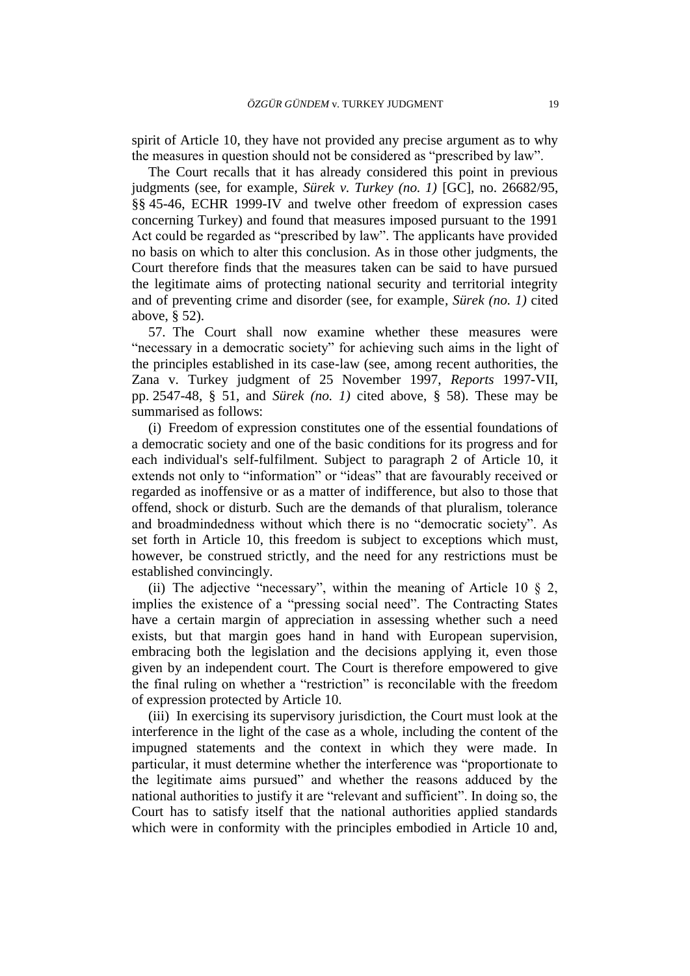spirit of Article 10, they have not provided any precise argument as to why the measures in question should not be considered as "prescribed by law".

The Court recalls that it has already considered this point in previous judgments (see, for example, *Sürek v. Turkey (no. 1)* [GC], no. 26682/95, §§ 45-46, ECHR 1999-IV and twelve other freedom of expression cases concerning Turkey) and found that measures imposed pursuant to the 1991 Act could be regarded as "prescribed by law". The applicants have provided no basis on which to alter this conclusion. As in those other judgments, the Court therefore finds that the measures taken can be said to have pursued the legitimate aims of protecting national security and territorial integrity and of preventing crime and disorder (see, for example*, Sürek (no. 1)* cited above, § 52).

57. The Court shall now examine whether these measures were "necessary in a democratic society" for achieving such aims in the light of the principles established in its case-law (see, among recent authorities, the Zana v. Turkey judgment of 25 November 1997, *Reports* 1997-VII, pp. 2547-48, § 51, and *Sürek (no. 1)* cited above, § 58). These may be summarised as follows:

(i) Freedom of expression constitutes one of the essential foundations of a democratic society and one of the basic conditions for its progress and for each individual's self-fulfilment. Subject to paragraph 2 of Article 10, it extends not only to "information" or "ideas" that are favourably received or regarded as inoffensive or as a matter of indifference, but also to those that offend, shock or disturb. Such are the demands of that pluralism, tolerance and broadmindedness without which there is no "democratic society". As set forth in Article 10, this freedom is subject to exceptions which must, however, be construed strictly, and the need for any restrictions must be established convincingly.

(ii) The adjective "necessary", within the meaning of Article 10  $\S$  2, implies the existence of a "pressing social need". The Contracting States have a certain margin of appreciation in assessing whether such a need exists, but that margin goes hand in hand with European supervision, embracing both the legislation and the decisions applying it, even those given by an independent court. The Court is therefore empowered to give the final ruling on whether a "restriction" is reconcilable with the freedom of expression protected by Article 10.

(iii) In exercising its supervisory jurisdiction, the Court must look at the interference in the light of the case as a whole, including the content of the impugned statements and the context in which they were made. In particular, it must determine whether the interference was "proportionate to the legitimate aims pursued" and whether the reasons adduced by the national authorities to justify it are "relevant and sufficient". In doing so, the Court has to satisfy itself that the national authorities applied standards which were in conformity with the principles embodied in Article 10 and,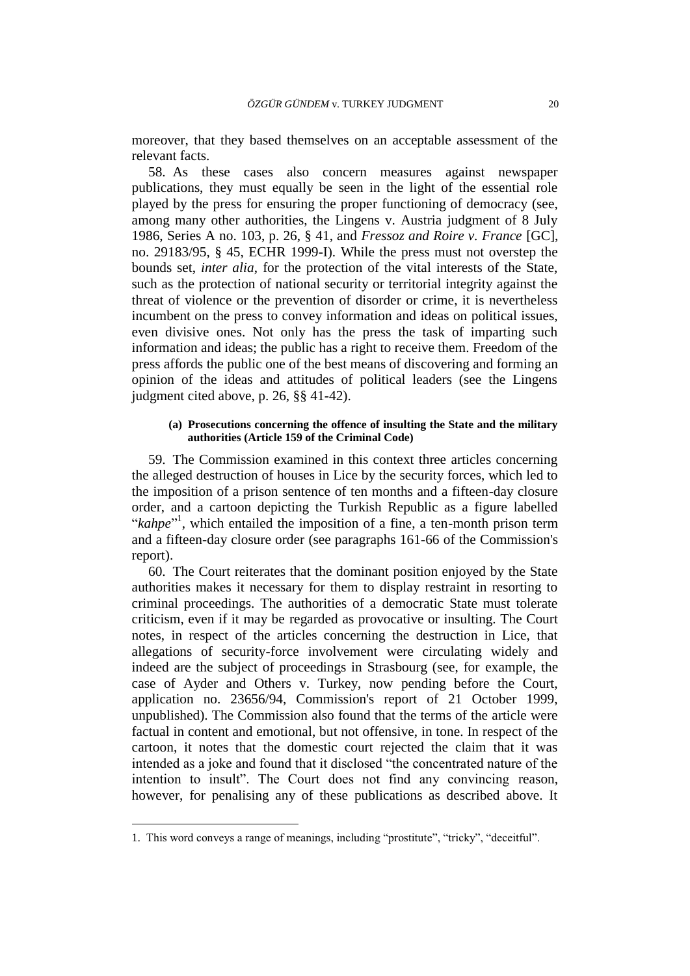moreover, that they based themselves on an acceptable assessment of the relevant facts.

58. As these cases also concern measures against newspaper publications, they must equally be seen in the light of the essential role played by the press for ensuring the proper functioning of democracy (see, among many other authorities, the Lingens v. Austria judgment of 8 July 1986, Series A no. 103, p. 26, § 41, and *Fressoz and Roire v. France* [GC], no. 29183/95, § 45, ECHR 1999-I). While the press must not overstep the bounds set, *inter alia*, for the protection of the vital interests of the State, such as the protection of national security or territorial integrity against the threat of violence or the prevention of disorder or crime, it is nevertheless incumbent on the press to convey information and ideas on political issues, even divisive ones. Not only has the press the task of imparting such information and ideas; the public has a right to receive them. Freedom of the press affords the public one of the best means of discovering and forming an opinion of the ideas and attitudes of political leaders (see the Lingens judgment cited above, p. 26, §§ 41-42).

#### **(a) Prosecutions concerning the offence of insulting the State and the military authorities (Article 159 of the Criminal Code)**

59. The Commission examined in this context three articles concerning the alleged destruction of houses in Lice by the security forces, which led to the imposition of a prison sentence of ten months and a fifteen-day closure order, and a cartoon depicting the Turkish Republic as a figure labelled "*kahpe*"<sup>1</sup>, which entailed the imposition of a fine, a ten-month prison term and a fifteen-day closure order (see paragraphs 161-66 of the Commission's report).

60. The Court reiterates that the dominant position enjoyed by the State authorities makes it necessary for them to display restraint in resorting to criminal proceedings. The authorities of a democratic State must tolerate criticism, even if it may be regarded as provocative or insulting. The Court notes, in respect of the articles concerning the destruction in Lice, that allegations of security-force involvement were circulating widely and indeed are the subject of proceedings in Strasbourg (see, for example, the case of Ayder and Others v. Turkey, now pending before the Court, application no. 23656/94, Commission's report of 21 October 1999, unpublished). The Commission also found that the terms of the article were factual in content and emotional, but not offensive, in tone. In respect of the cartoon, it notes that the domestic court rejected the claim that it was intended as a joke and found that it disclosed "the concentrated nature of the intention to insult". The Court does not find any convincing reason, however, for penalising any of these publications as described above. It

 $\overline{a}$ 

<sup>1.</sup> This word conveys a range of meanings, including "prostitute", "tricky", "deceitful".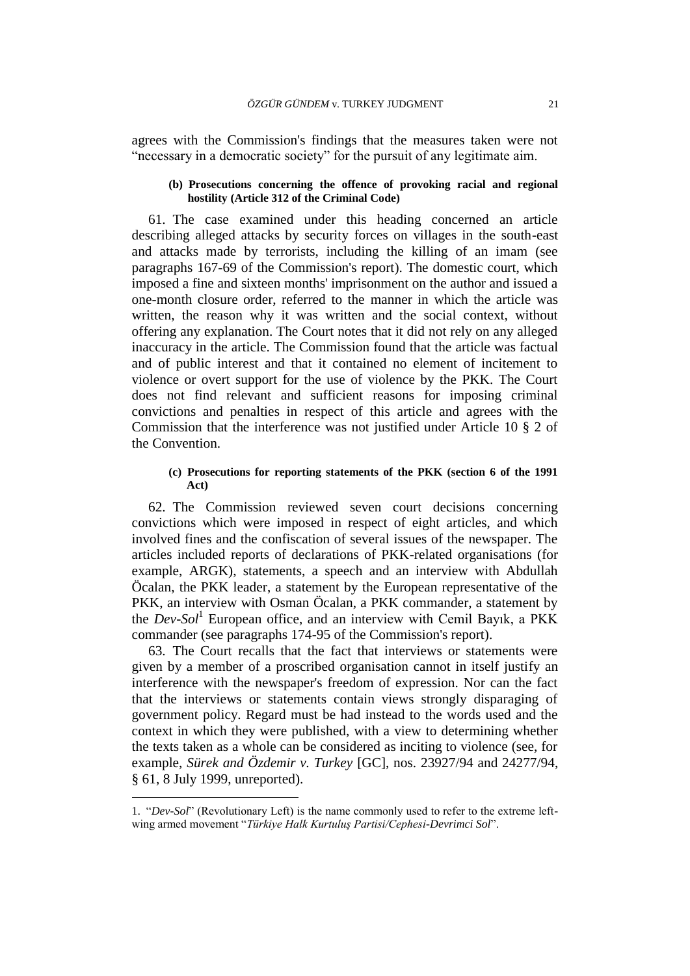agrees with the Commission's findings that the measures taken were not "necessary in a democratic society" for the pursuit of any legitimate aim.

#### **(b) Prosecutions concerning the offence of provoking racial and regional hostility (Article 312 of the Criminal Code)**

61. The case examined under this heading concerned an article describing alleged attacks by security forces on villages in the south-east and attacks made by terrorists, including the killing of an imam (see paragraphs 167-69 of the Commission's report). The domestic court, which imposed a fine and sixteen months' imprisonment on the author and issued a one-month closure order, referred to the manner in which the article was written, the reason why it was written and the social context, without offering any explanation. The Court notes that it did not rely on any alleged inaccuracy in the article. The Commission found that the article was factual and of public interest and that it contained no element of incitement to violence or overt support for the use of violence by the PKK. The Court does not find relevant and sufficient reasons for imposing criminal convictions and penalties in respect of this article and agrees with the Commission that the interference was not justified under Article 10 § 2 of the Convention.

#### **(c) Prosecutions for reporting statements of the PKK (section 6 of the 1991 Act)**

62. The Commission reviewed seven court decisions concerning convictions which were imposed in respect of eight articles, and which involved fines and the confiscation of several issues of the newspaper. The articles included reports of declarations of PKK-related organisations (for example, ARGK), statements, a speech and an interview with Abdullah Öcalan, the PKK leader, a statement by the European representative of the PKK, an interview with Osman Öcalan, a PKK commander, a statement by the *Dev-Sol*<sup>1</sup> European office, and an interview with Cemil Bayık, a PKK commander (see paragraphs 174-95 of the Commission's report).

63. The Court recalls that the fact that interviews or statements were given by a member of a proscribed organisation cannot in itself justify an interference with the newspaper's freedom of expression. Nor can the fact that the interviews or statements contain views strongly disparaging of government policy. Regard must be had instead to the words used and the context in which they were published, with a view to determining whether the texts taken as a whole can be considered as inciting to violence (see, for example, *Sürek and Özdemir v. Turkey* [GC], nos. 23927/94 and 24277/94, § 61, 8 July 1999, unreported).

 $\overline{a}$ 

<sup>1. &</sup>quot;*Dev-Sol*" (Revolutionary Left) is the name commonly used to refer to the extreme leftwing armed movement "*Türkiye Halk Kurtuluş Partisi/Cephesi-Devrimci Sol*".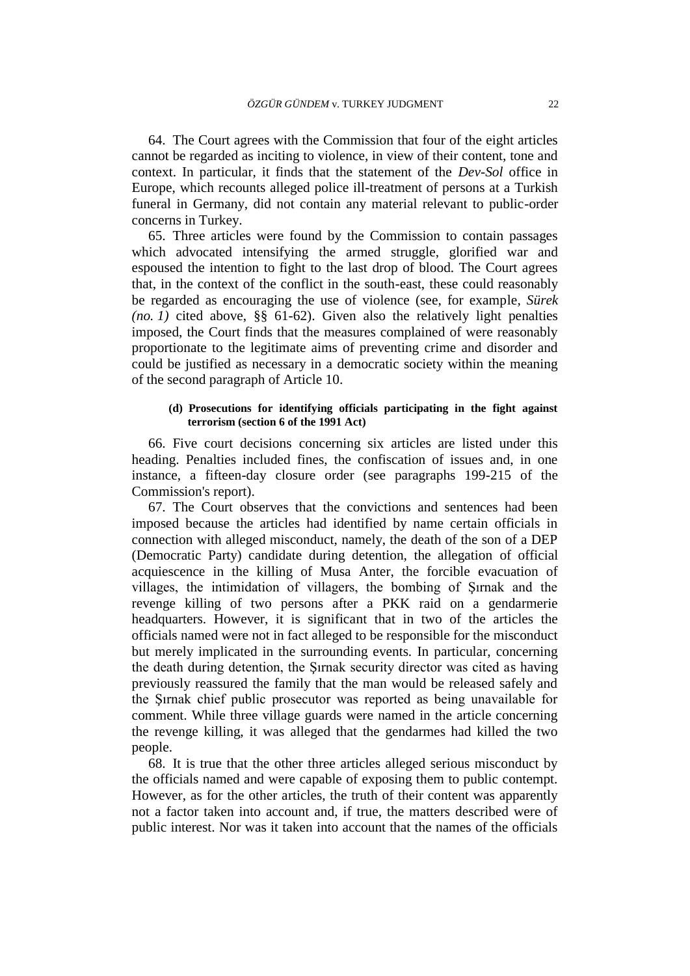64. The Court agrees with the Commission that four of the eight articles cannot be regarded as inciting to violence, in view of their content, tone and context. In particular, it finds that the statement of the *Dev-Sol* office in Europe, which recounts alleged police ill-treatment of persons at a Turkish funeral in Germany, did not contain any material relevant to public-order concerns in Turkey.

65. Three articles were found by the Commission to contain passages which advocated intensifying the armed struggle, glorified war and espoused the intention to fight to the last drop of blood. The Court agrees that, in the context of the conflict in the south-east, these could reasonably be regarded as encouraging the use of violence (see, for example*, Sürek (no. 1)* cited above,  $\S$ § 61-62). Given also the relatively light penalties imposed, the Court finds that the measures complained of were reasonably proportionate to the legitimate aims of preventing crime and disorder and could be justified as necessary in a democratic society within the meaning of the second paragraph of Article 10.

#### **(d) Prosecutions for identifying officials participating in the fight against terrorism (section 6 of the 1991 Act)**

66. Five court decisions concerning six articles are listed under this heading. Penalties included fines, the confiscation of issues and, in one instance, a fifteen-day closure order (see paragraphs 199-215 of the Commission's report).

67. The Court observes that the convictions and sentences had been imposed because the articles had identified by name certain officials in connection with alleged misconduct, namely, the death of the son of a DEP (Democratic Party) candidate during detention, the allegation of official acquiescence in the killing of Musa Anter, the forcible evacuation of villages, the intimidation of villagers, the bombing of Şırnak and the revenge killing of two persons after a PKK raid on a gendarmerie headquarters. However, it is significant that in two of the articles the officials named were not in fact alleged to be responsible for the misconduct but merely implicated in the surrounding events. In particular, concerning the death during detention, the Şırnak security director was cited as having previously reassured the family that the man would be released safely and the Şırnak chief public prosecutor was reported as being unavailable for comment. While three village guards were named in the article concerning the revenge killing, it was alleged that the gendarmes had killed the two people.

68. It is true that the other three articles alleged serious misconduct by the officials named and were capable of exposing them to public contempt. However, as for the other articles, the truth of their content was apparently not a factor taken into account and, if true, the matters described were of public interest. Nor was it taken into account that the names of the officials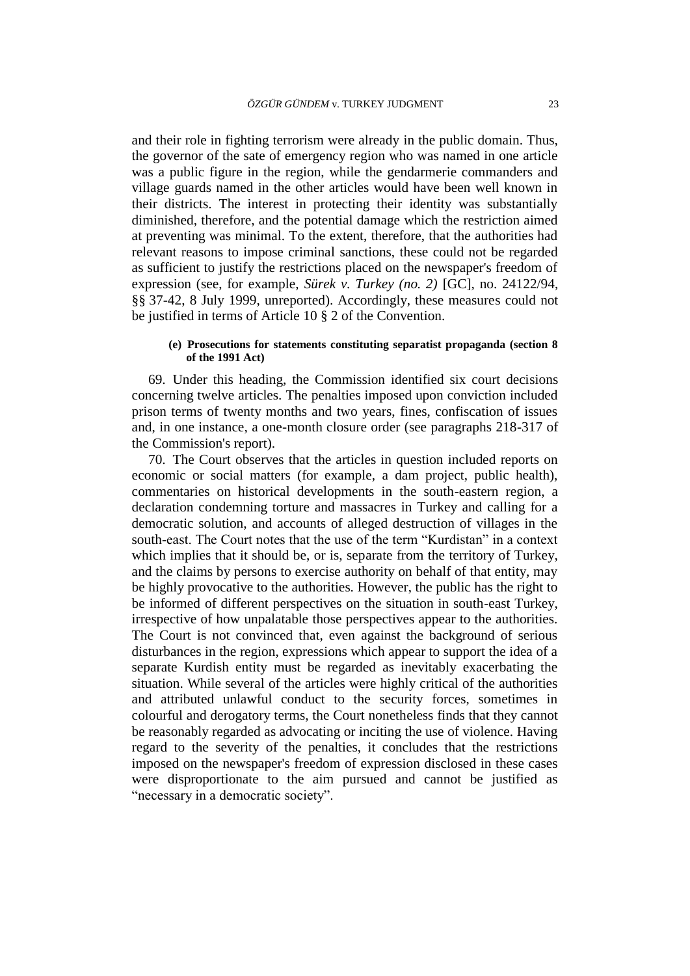and their role in fighting terrorism were already in the public domain. Thus, the governor of the sate of emergency region who was named in one article was a public figure in the region, while the gendarmerie commanders and village guards named in the other articles would have been well known in their districts. The interest in protecting their identity was substantially diminished, therefore, and the potential damage which the restriction aimed at preventing was minimal. To the extent, therefore, that the authorities had relevant reasons to impose criminal sanctions, these could not be regarded as sufficient to justify the restrictions placed on the newspaper's freedom of expression (see, for example, *Sürek v. Turkey (no. 2)* [GC], no. 24122/94, §§ 37-42, 8 July 1999, unreported). Accordingly, these measures could not be justified in terms of Article 10 § 2 of the Convention.

#### **(e) Prosecutions for statements constituting separatist propaganda (section 8 of the 1991 Act)**

69. Under this heading, the Commission identified six court decisions concerning twelve articles. The penalties imposed upon conviction included prison terms of twenty months and two years, fines, confiscation of issues and, in one instance, a one-month closure order (see paragraphs 218-317 of the Commission's report).

70. The Court observes that the articles in question included reports on economic or social matters (for example, a dam project, public health), commentaries on historical developments in the south-eastern region, a declaration condemning torture and massacres in Turkey and calling for a democratic solution, and accounts of alleged destruction of villages in the south-east. The Court notes that the use of the term "Kurdistan" in a context which implies that it should be, or is, separate from the territory of Turkey, and the claims by persons to exercise authority on behalf of that entity, may be highly provocative to the authorities. However, the public has the right to be informed of different perspectives on the situation in south-east Turkey, irrespective of how unpalatable those perspectives appear to the authorities. The Court is not convinced that, even against the background of serious disturbances in the region, expressions which appear to support the idea of a separate Kurdish entity must be regarded as inevitably exacerbating the situation. While several of the articles were highly critical of the authorities and attributed unlawful conduct to the security forces, sometimes in colourful and derogatory terms, the Court nonetheless finds that they cannot be reasonably regarded as advocating or inciting the use of violence. Having regard to the severity of the penalties, it concludes that the restrictions imposed on the newspaper's freedom of expression disclosed in these cases were disproportionate to the aim pursued and cannot be justified as "necessary in a democratic society".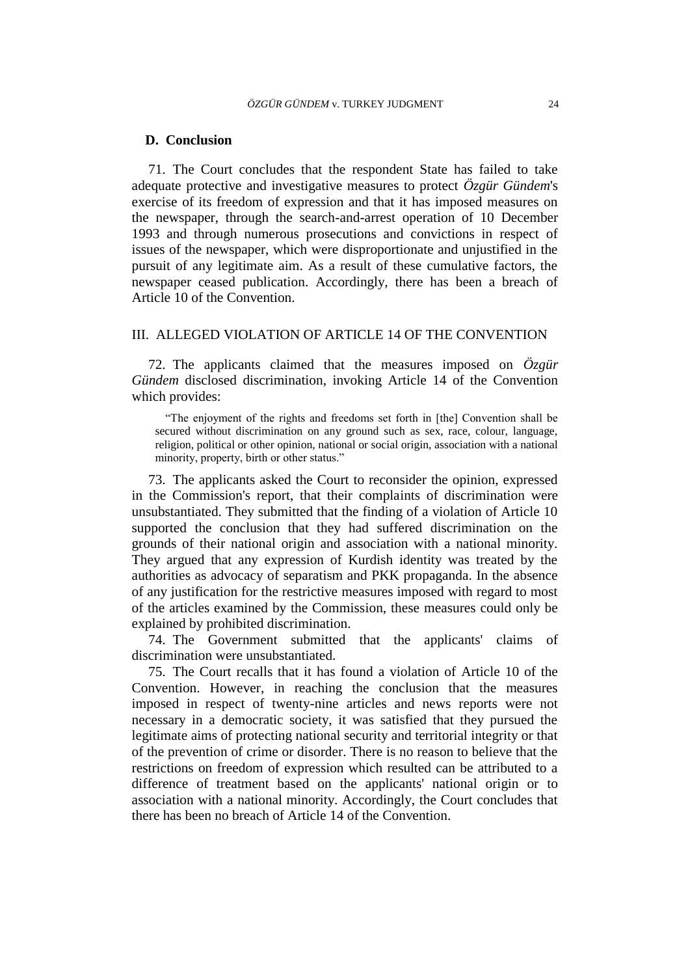#### **D. Conclusion**

71. The Court concludes that the respondent State has failed to take adequate protective and investigative measures to protect *Özgür Gündem*'s exercise of its freedom of expression and that it has imposed measures on the newspaper, through the search-and-arrest operation of 10 December 1993 and through numerous prosecutions and convictions in respect of issues of the newspaper, which were disproportionate and unjustified in the pursuit of any legitimate aim. As a result of these cumulative factors, the newspaper ceased publication. Accordingly, there has been a breach of Article 10 of the Convention.

#### III. ALLEGED VIOLATION OF ARTICLE 14 OF THE CONVENTION

72. The applicants claimed that the measures imposed on *Özgür Gündem* disclosed discrimination, invoking Article 14 of the Convention which provides:

"The enjoyment of the rights and freedoms set forth in [the] Convention shall be secured without discrimination on any ground such as sex, race, colour, language, religion, political or other opinion, national or social origin, association with a national minority, property, birth or other status."

73. The applicants asked the Court to reconsider the opinion, expressed in the Commission's report, that their complaints of discrimination were unsubstantiated. They submitted that the finding of a violation of Article 10 supported the conclusion that they had suffered discrimination on the grounds of their national origin and association with a national minority. They argued that any expression of Kurdish identity was treated by the authorities as advocacy of separatism and PKK propaganda. In the absence of any justification for the restrictive measures imposed with regard to most of the articles examined by the Commission, these measures could only be explained by prohibited discrimination.

74. The Government submitted that the applicants' claims of discrimination were unsubstantiated.

75. The Court recalls that it has found a violation of Article 10 of the Convention. However, in reaching the conclusion that the measures imposed in respect of twenty-nine articles and news reports were not necessary in a democratic society, it was satisfied that they pursued the legitimate aims of protecting national security and territorial integrity or that of the prevention of crime or disorder. There is no reason to believe that the restrictions on freedom of expression which resulted can be attributed to a difference of treatment based on the applicants' national origin or to association with a national minority. Accordingly, the Court concludes that there has been no breach of Article 14 of the Convention.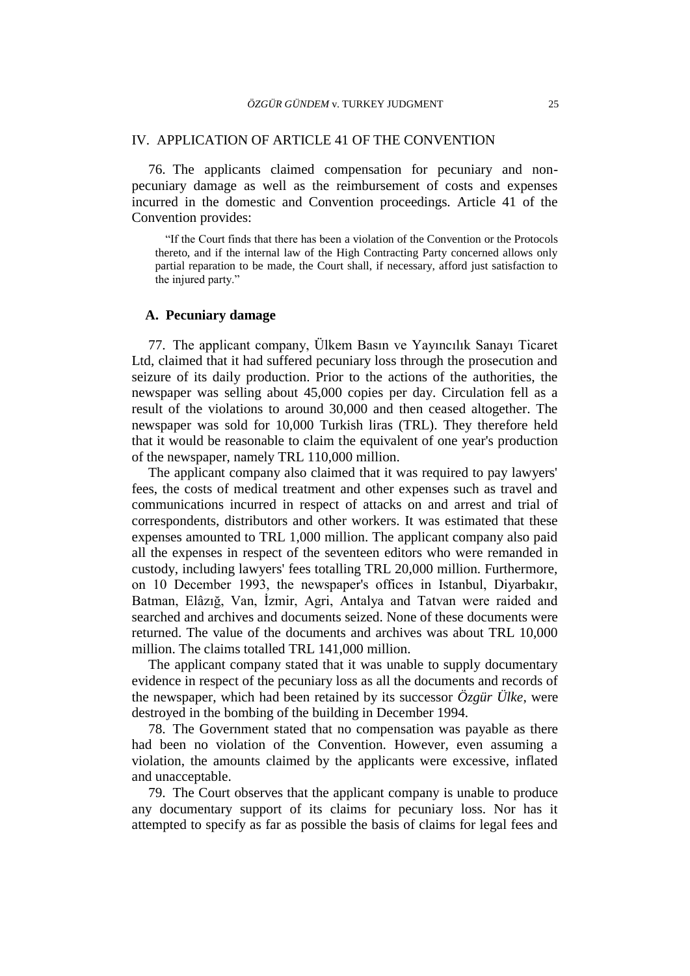### IV. APPLICATION OF ARTICLE 41 OF THE CONVENTION

76. The applicants claimed compensation for pecuniary and nonpecuniary damage as well as the reimbursement of costs and expenses incurred in the domestic and Convention proceedings. Article 41 of the Convention provides:

"If the Court finds that there has been a violation of the Convention or the Protocols thereto, and if the internal law of the High Contracting Party concerned allows only partial reparation to be made, the Court shall, if necessary, afford just satisfaction to the injured party."

## **A. Pecuniary damage**

77. The applicant company, Ülkem Basın ve Yayıncılık Sanayı Ticaret Ltd, claimed that it had suffered pecuniary loss through the prosecution and seizure of its daily production. Prior to the actions of the authorities, the newspaper was selling about 45,000 copies per day. Circulation fell as a result of the violations to around 30,000 and then ceased altogether. The newspaper was sold for 10,000 Turkish liras (TRL). They therefore held that it would be reasonable to claim the equivalent of one year's production of the newspaper, namely TRL 110,000 million.

The applicant company also claimed that it was required to pay lawyers' fees, the costs of medical treatment and other expenses such as travel and communications incurred in respect of attacks on and arrest and trial of correspondents, distributors and other workers. It was estimated that these expenses amounted to TRL 1,000 million. The applicant company also paid all the expenses in respect of the seventeen editors who were remanded in custody, including lawyers' fees totalling TRL 20,000 million. Furthermore, on 10 December 1993, the newspaper's offices in Istanbul, Diyarbakır, Batman, Elâzığ, Van, İzmir, Agri, Antalya and Tatvan were raided and searched and archives and documents seized. None of these documents were returned. The value of the documents and archives was about TRL 10,000 million. The claims totalled TRL 141,000 million.

The applicant company stated that it was unable to supply documentary evidence in respect of the pecuniary loss as all the documents and records of the newspaper, which had been retained by its successor *Özgür Ülke*, were destroyed in the bombing of the building in December 1994.

78. The Government stated that no compensation was payable as there had been no violation of the Convention. However, even assuming a violation, the amounts claimed by the applicants were excessive, inflated and unacceptable.

79. The Court observes that the applicant company is unable to produce any documentary support of its claims for pecuniary loss. Nor has it attempted to specify as far as possible the basis of claims for legal fees and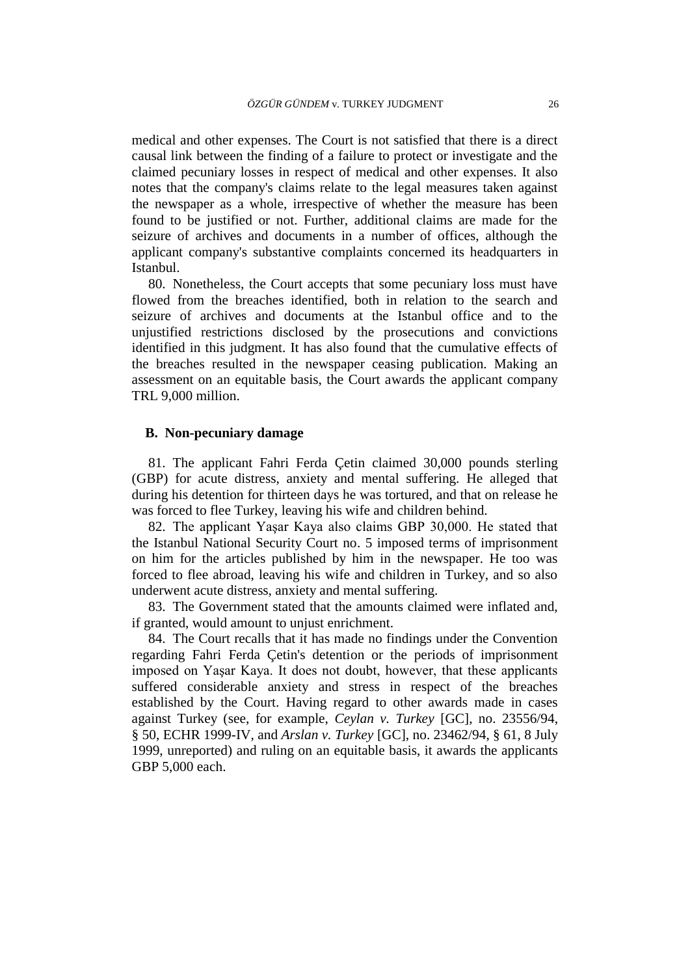medical and other expenses. The Court is not satisfied that there is a direct causal link between the finding of a failure to protect or investigate and the claimed pecuniary losses in respect of medical and other expenses. It also notes that the company's claims relate to the legal measures taken against the newspaper as a whole, irrespective of whether the measure has been found to be justified or not. Further, additional claims are made for the seizure of archives and documents in a number of offices, although the applicant company's substantive complaints concerned its headquarters in Istanbul.

80. Nonetheless, the Court accepts that some pecuniary loss must have flowed from the breaches identified, both in relation to the search and seizure of archives and documents at the Istanbul office and to the unjustified restrictions disclosed by the prosecutions and convictions identified in this judgment. It has also found that the cumulative effects of the breaches resulted in the newspaper ceasing publication. Making an assessment on an equitable basis, the Court awards the applicant company TRL 9,000 million.

#### **B. Non-pecuniary damage**

81. The applicant Fahri Ferda Çetin claimed 30,000 pounds sterling (GBP) for acute distress, anxiety and mental suffering. He alleged that during his detention for thirteen days he was tortured, and that on release he was forced to flee Turkey, leaving his wife and children behind.

82. The applicant Yaşar Kaya also claims GBP 30,000. He stated that the Istanbul National Security Court no. 5 imposed terms of imprisonment on him for the articles published by him in the newspaper. He too was forced to flee abroad, leaving his wife and children in Turkey, and so also underwent acute distress, anxiety and mental suffering.

83. The Government stated that the amounts claimed were inflated and, if granted, would amount to unjust enrichment.

84. The Court recalls that it has made no findings under the Convention regarding Fahri Ferda Çetin's detention or the periods of imprisonment imposed on Yaşar Kaya. It does not doubt, however, that these applicants suffered considerable anxiety and stress in respect of the breaches established by the Court. Having regard to other awards made in cases against Turkey (see, for example, *Ceylan v. Turkey* [GC], no. 23556/94, § 50, ECHR 1999-IV, and *Arslan v. Turkey* [GC], no. 23462/94, § 61, 8 July 1999, unreported) and ruling on an equitable basis, it awards the applicants GBP 5,000 each.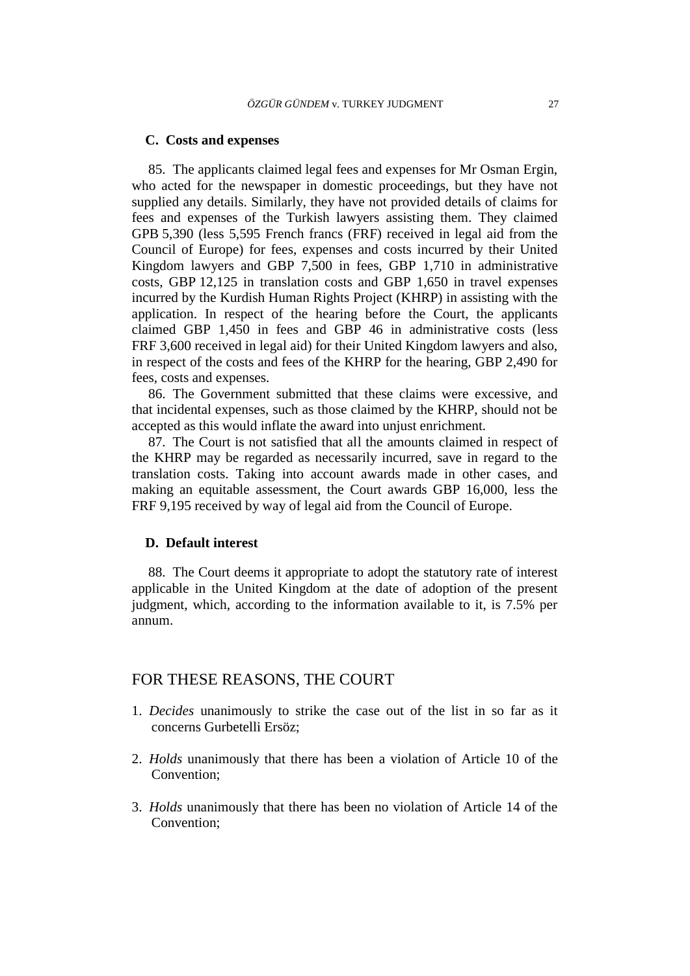## **C. Costs and expenses**

85. The applicants claimed legal fees and expenses for Mr Osman Ergin, who acted for the newspaper in domestic proceedings, but they have not supplied any details. Similarly, they have not provided details of claims for fees and expenses of the Turkish lawyers assisting them. They claimed GPB 5,390 (less 5,595 French francs (FRF) received in legal aid from the Council of Europe) for fees, expenses and costs incurred by their United Kingdom lawyers and GBP 7,500 in fees, GBP 1,710 in administrative costs, GBP 12,125 in translation costs and GBP 1,650 in travel expenses incurred by the Kurdish Human Rights Project (KHRP) in assisting with the application. In respect of the hearing before the Court, the applicants claimed GBP 1,450 in fees and GBP 46 in administrative costs (less FRF 3,600 received in legal aid) for their United Kingdom lawyers and also, in respect of the costs and fees of the KHRP for the hearing, GBP 2,490 for fees, costs and expenses.

86. The Government submitted that these claims were excessive, and that incidental expenses, such as those claimed by the KHRP, should not be accepted as this would inflate the award into unjust enrichment.

87. The Court is not satisfied that all the amounts claimed in respect of the KHRP may be regarded as necessarily incurred, save in regard to the translation costs. Taking into account awards made in other cases, and making an equitable assessment, the Court awards GBP 16,000, less the FRF 9,195 received by way of legal aid from the Council of Europe.

#### **D. Default interest**

88. The Court deems it appropriate to adopt the statutory rate of interest applicable in the United Kingdom at the date of adoption of the present judgment, which, according to the information available to it, is 7.5% per annum.

## FOR THESE REASONS, THE COURT

- 1. *Decides* unanimously to strike the case out of the list in so far as it concerns Gurbetelli Ersöz;
- 2. *Holds* unanimously that there has been a violation of Article 10 of the Convention;
- 3. *Holds* unanimously that there has been no violation of Article 14 of the Convention;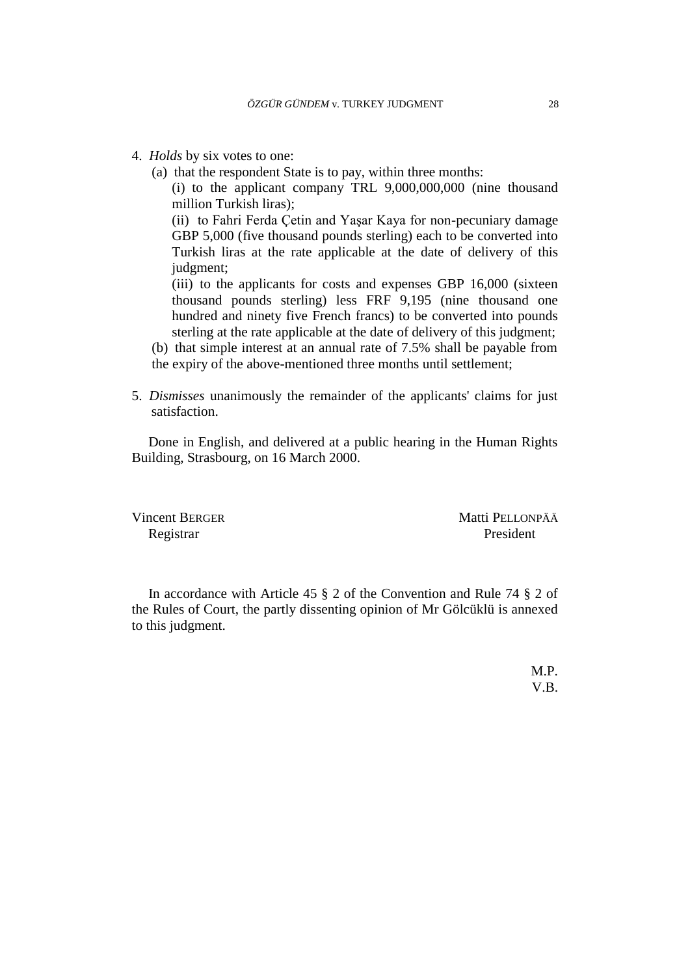- 4. *Holds* by six votes to one:
	- (a) that the respondent State is to pay, within three months:

(i) to the applicant company TRL 9,000,000,000 (nine thousand million Turkish liras);

(ii) to Fahri Ferda Çetin and Yaşar Kaya for non-pecuniary damage GBP 5,000 (five thousand pounds sterling) each to be converted into Turkish liras at the rate applicable at the date of delivery of this judgment;

(iii) to the applicants for costs and expenses GBP 16,000 (sixteen thousand pounds sterling) less FRF 9,195 (nine thousand one hundred and ninety five French francs) to be converted into pounds sterling at the rate applicable at the date of delivery of this judgment;

- (b) that simple interest at an annual rate of 7.5% shall be payable from
- the expiry of the above-mentioned three months until settlement;
- 5. *Dismisses* unanimously the remainder of the applicants' claims for just satisfaction.

Done in English, and delivered at a public hearing in the Human Rights Building, Strasbourg, on 16 March 2000.

Vincent BERGER Matti PELLONPÄÄ Registrar President

In accordance with Article 45 § 2 of the Convention and Rule 74 § 2 of the Rules of Court, the partly dissenting opinion of Mr Gölcüklü is annexed to this judgment.

> M.P. V.B.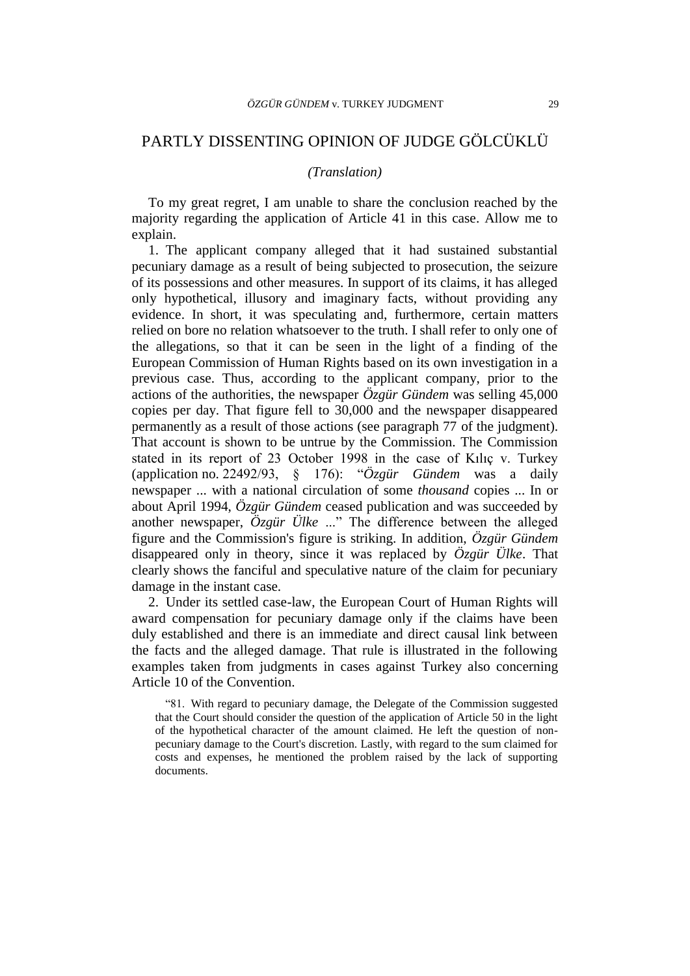## PARTLY DISSENTING OPINION OF JUDGE GÖLCÜKLÜ

#### *(Translation)*

To my great regret, I am unable to share the conclusion reached by the majority regarding the application of Article 41 in this case. Allow me to explain.

1. The applicant company alleged that it had sustained substantial pecuniary damage as a result of being subjected to prosecution, the seizure of its possessions and other measures. In support of its claims, it has alleged only hypothetical, illusory and imaginary facts, without providing any evidence. In short, it was speculating and, furthermore, certain matters relied on bore no relation whatsoever to the truth. I shall refer to only one of the allegations, so that it can be seen in the light of a finding of the European Commission of Human Rights based on its own investigation in a previous case. Thus, according to the applicant company, prior to the actions of the authorities, the newspaper *Özgür Gündem* was selling 45,000 copies per day. That figure fell to 30,000 and the newspaper disappeared permanently as a result of those actions (see paragraph 77 of the judgment). That account is shown to be untrue by the Commission. The Commission stated in its report of 23 October 1998 in the case of Kılıç v. Turkey (application no. 22492/93, § 176): "*Özgür Gündem* was a daily newspaper ... with a national circulation of some *thousand* copies ... In or about April 1994, *Özgür Gündem* ceased publication and was succeeded by another newspaper, *Özgür Ülke* ..." The difference between the alleged figure and the Commission's figure is striking. In addition, *Özgür Gündem* disappeared only in theory, since it was replaced by *Özgür Ülke*. That clearly shows the fanciful and speculative nature of the claim for pecuniary damage in the instant case.

2. Under its settled case-law, the European Court of Human Rights will award compensation for pecuniary damage only if the claims have been duly established and there is an immediate and direct causal link between the facts and the alleged damage. That rule is illustrated in the following examples taken from judgments in cases against Turkey also concerning Article 10 of the Convention.

"81. With regard to pecuniary damage, the Delegate of the Commission suggested that the Court should consider the question of the application of Article 50 in the light of the hypothetical character of the amount claimed. He left the question of nonpecuniary damage to the Court's discretion. Lastly, with regard to the sum claimed for costs and expenses, he mentioned the problem raised by the lack of supporting documents.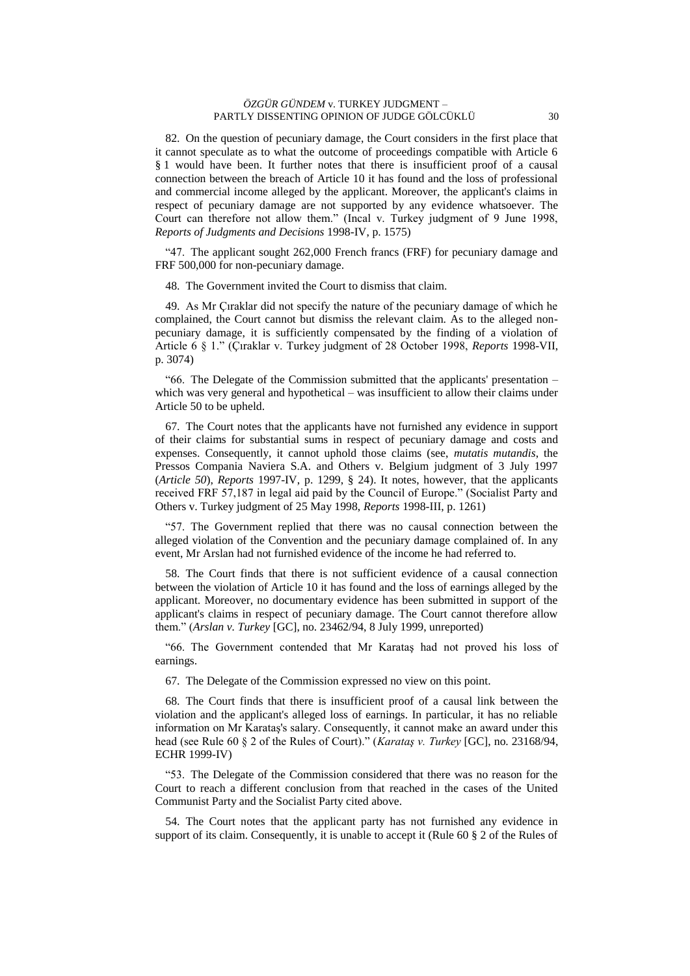#### *ÖZGÜR GÜNDEM* v. TURKEY JUDGMENT – PARTLY DISSENTING OPINION OF JUDGE GÖLCÜKLÜ 30

82. On the question of pecuniary damage, the Court considers in the first place that it cannot speculate as to what the outcome of proceedings compatible with Article 6 § 1 would have been. It further notes that there is insufficient proof of a causal connection between the breach of Article 10 it has found and the loss of professional and commercial income alleged by the applicant. Moreover, the applicant's claims in respect of pecuniary damage are not supported by any evidence whatsoever. The Court can therefore not allow them." (Incal v. Turkey judgment of 9 June 1998, *Reports of Judgments and Decisions* 1998-IV, p. 1575)

"47. The applicant sought 262,000 French francs (FRF) for pecuniary damage and FRF 500,000 for non-pecuniary damage.

48. The Government invited the Court to dismiss that claim.

49. As Mr Çıraklar did not specify the nature of the pecuniary damage of which he complained, the Court cannot but dismiss the relevant claim. As to the alleged nonpecuniary damage, it is sufficiently compensated by the finding of a violation of Article 6 § 1." (Çıraklar v. Turkey judgment of 28 October 1998, *Reports* 1998-VII, p. 3074)

"66. The Delegate of the Commission submitted that the applicants' presentation – which was very general and hypothetical – was insufficient to allow their claims under Article 50 to be upheld.

67. The Court notes that the applicants have not furnished any evidence in support of their claims for substantial sums in respect of pecuniary damage and costs and expenses. Consequently, it cannot uphold those claims (see, *mutatis mutandis*, the Pressos Compania Naviera S.A. and Others v. Belgium judgment of 3 July 1997 (*Article 50*), *Reports* 1997-IV, p. 1299, § 24). It notes, however, that the applicants received FRF 57,187 in legal aid paid by the Council of Europe." (Socialist Party and Others v. Turkey judgment of 25 May 1998, *Reports* 1998-III, p. 1261)

"57. The Government replied that there was no causal connection between the alleged violation of the Convention and the pecuniary damage complained of. In any event, Mr Arslan had not furnished evidence of the income he had referred to.

58. The Court finds that there is not sufficient evidence of a causal connection between the violation of Article 10 it has found and the loss of earnings alleged by the applicant. Moreover, no documentary evidence has been submitted in support of the applicant's claims in respect of pecuniary damage. The Court cannot therefore allow them." (*Arslan v. Turkey* [GC], no. 23462/94, 8 July 1999, unreported)

"66. The Government contended that Mr Karataş had not proved his loss of earnings.

67. The Delegate of the Commission expressed no view on this point.

68. The Court finds that there is insufficient proof of a causal link between the violation and the applicant's alleged loss of earnings. In particular, it has no reliable information on Mr Karataş's salary. Consequently, it cannot make an award under this head (see Rule 60 § 2 of the Rules of Court)." (*Karataş v. Turkey* [GC], no. 23168/94, ECHR 1999-IV)

"53. The Delegate of the Commission considered that there was no reason for the Court to reach a different conclusion from that reached in the cases of the United Communist Party and the Socialist Party cited above.

54. The Court notes that the applicant party has not furnished any evidence in support of its claim. Consequently, it is unable to accept it (Rule 60 § 2 of the Rules of